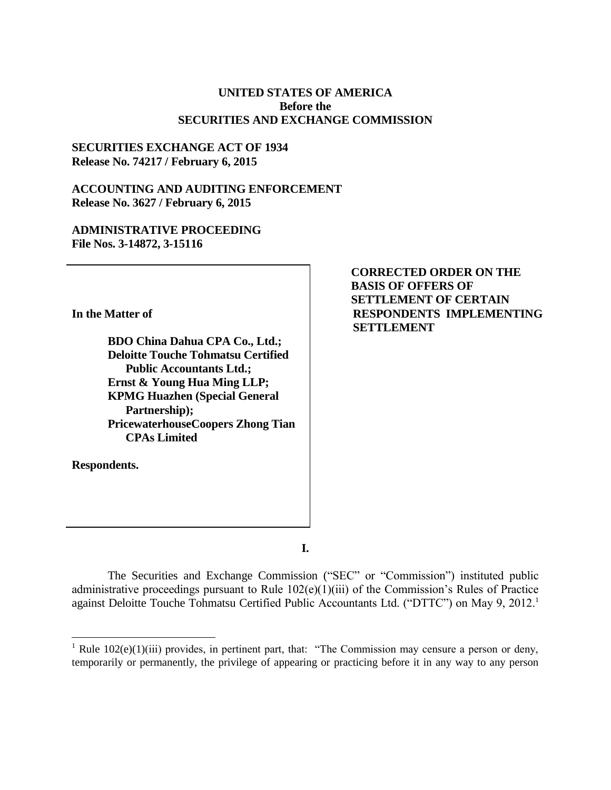### **UNITED STATES OF AMERICA Before the SECURITIES AND EXCHANGE COMMISSION**

#### **SECURITIES EXCHANGE ACT OF 1934 Release No. 74217 / February 6, 2015**

### **ACCOUNTING AND AUDITING ENFORCEMENT Release No. 3627 / February 6, 2015**

## **ADMINISTRATIVE PROCEEDING File Nos. 3-14872, 3-15116**

**In the Matter of**

**BDO China Dahua CPA Co., Ltd.; Deloitte Touche Tohmatsu Certified Public Accountants Ltd.; Ernst & Young Hua Ming LLP; KPMG Huazhen (Special General Partnership); PricewaterhouseCoopers Zhong Tian CPAs Limited** 

**Respondents.**

 $\overline{a}$ 

**CORRECTED ORDER ON THE BASIS OF OFFERS OF SETTLEMENT OF CERTAIN RESPONDENTS IMPLEMENTING SETTLEMENT**

**I.**

The Securities and Exchange Commission ("SEC" or "Commission") instituted public administrative proceedings pursuant to Rule 102(e)(1)(iii) of the Commission's Rules of Practice against Deloitte Touche Tohmatsu Certified Public Accountants Ltd. ("DTTC") on May 9, 2012.<sup>1</sup>

<sup>&</sup>lt;sup>1</sup> Rule 102(e)(1)(iii) provides, in pertinent part, that: "The Commission may censure a person or deny, temporarily or permanently, the privilege of appearing or practicing before it in any way to any person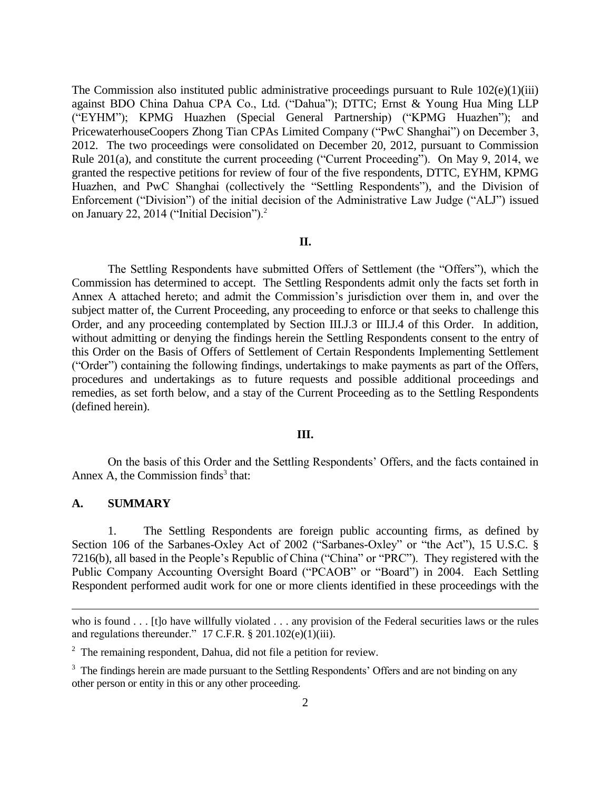The Commission also instituted public administrative proceedings pursuant to Rule 102(e)(1)(iii) against BDO China Dahua CPA Co., Ltd. ("Dahua"); DTTC; Ernst & Young Hua Ming LLP ("EYHM"); KPMG Huazhen (Special General Partnership) ("KPMG Huazhen"); and PricewaterhouseCoopers Zhong Tian CPAs Limited Company ("PwC Shanghai") on December 3, 2012. The two proceedings were consolidated on December 20, 2012, pursuant to Commission Rule 201(a), and constitute the current proceeding ("Current Proceeding"). On May 9, 2014, we granted the respective petitions for review of four of the five respondents, DTTC, EYHM, KPMG Huazhen, and PwC Shanghai (collectively the "Settling Respondents"), and the Division of Enforcement ("Division") of the initial decision of the Administrative Law Judge ("ALJ") issued on January 22, 2014 ("Initial Decision"). $2$ 

### **II.**

The Settling Respondents have submitted Offers of Settlement (the "Offers"), which the Commission has determined to accept. The Settling Respondents admit only the facts set forth in Annex A attached hereto; and admit the Commission's jurisdiction over them in, and over the subject matter of, the Current Proceeding, any proceeding to enforce or that seeks to challenge this Order, and any proceeding contemplated by Section III.J.3 or III.J.4 of this Order. In addition, without admitting or denying the findings herein the Settling Respondents consent to the entry of this Order on the Basis of Offers of Settlement of Certain Respondents Implementing Settlement ("Order") containing the following findings, undertakings to make payments as part of the Offers, procedures and undertakings as to future requests and possible additional proceedings and remedies, as set forth below, and a stay of the Current Proceeding as to the Settling Respondents (defined herein).

#### **III.**

On the basis of this Order and the Settling Respondents' Offers, and the facts contained in Annex A, the Commission finds $3$  that:

#### **A. SUMMARY**

 $\overline{a}$ 

1. The Settling Respondents are foreign public accounting firms, as defined by Section 106 of the Sarbanes-Oxley Act of 2002 ("Sarbanes-Oxley" or "the Act"), 15 U.S.C. § 7216(b), all based in the People's Republic of China ("China" or "PRC"). They registered with the Public Company Accounting Oversight Board ("PCAOB" or "Board") in 2004. Each Settling Respondent performed audit work for one or more clients identified in these proceedings with the

who is found . . . [t]o have willfully violated . . . any provision of the Federal securities laws or the rules and regulations thereunder." 17 C.F.R.  $\S 201.102(e)(1)(iii)$ .

 $2$  The remaining respondent, Dahua, did not file a petition for review.

<sup>&</sup>lt;sup>3</sup> The findings herein are made pursuant to the Settling Respondents' Offers and are not binding on any other person or entity in this or any other proceeding.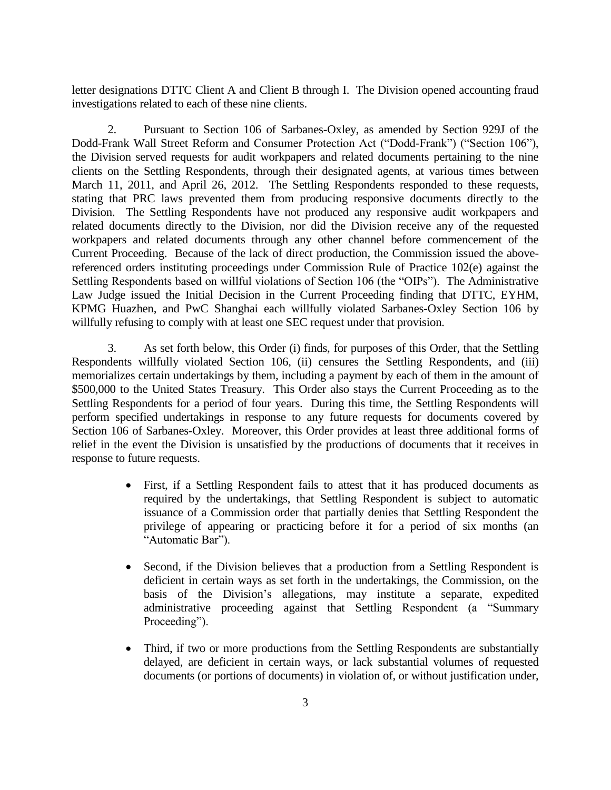letter designations DTTC Client A and Client B through I. The Division opened accounting fraud investigations related to each of these nine clients.

2. Pursuant to Section 106 of Sarbanes-Oxley, as amended by Section 929J of the Dodd-Frank Wall Street Reform and Consumer Protection Act ("Dodd-Frank") ("Section 106"), the Division served requests for audit workpapers and related documents pertaining to the nine clients on the Settling Respondents, through their designated agents, at various times between March 11, 2011, and April 26, 2012. The Settling Respondents responded to these requests, stating that PRC laws prevented them from producing responsive documents directly to the Division. The Settling Respondents have not produced any responsive audit workpapers and related documents directly to the Division, nor did the Division receive any of the requested workpapers and related documents through any other channel before commencement of the Current Proceeding. Because of the lack of direct production, the Commission issued the abovereferenced orders instituting proceedings under Commission Rule of Practice 102(e) against the Settling Respondents based on willful violations of Section 106 (the "OIPs"). The Administrative Law Judge issued the Initial Decision in the Current Proceeding finding that DTTC, EYHM, KPMG Huazhen, and PwC Shanghai each willfully violated Sarbanes-Oxley Section 106 by willfully refusing to comply with at least one SEC request under that provision.

3. As set forth below, this Order (i) finds, for purposes of this Order, that the Settling Respondents willfully violated Section 106, (ii) censures the Settling Respondents, and (iii) memorializes certain undertakings by them, including a payment by each of them in the amount of \$500,000 to the United States Treasury. This Order also stays the Current Proceeding as to the Settling Respondents for a period of four years. During this time, the Settling Respondents will perform specified undertakings in response to any future requests for documents covered by Section 106 of Sarbanes-Oxley. Moreover, this Order provides at least three additional forms of relief in the event the Division is unsatisfied by the productions of documents that it receives in response to future requests.

- First, if a Settling Respondent fails to attest that it has produced documents as required by the undertakings, that Settling Respondent is subject to automatic issuance of a Commission order that partially denies that Settling Respondent the privilege of appearing or practicing before it for a period of six months (an "Automatic Bar").
- Second, if the Division believes that a production from a Settling Respondent is deficient in certain ways as set forth in the undertakings, the Commission, on the basis of the Division's allegations, may institute a separate, expedited administrative proceeding against that Settling Respondent (a "Summary Proceeding").
- Third, if two or more productions from the Settling Respondents are substantially delayed, are deficient in certain ways, or lack substantial volumes of requested documents (or portions of documents) in violation of, or without justification under,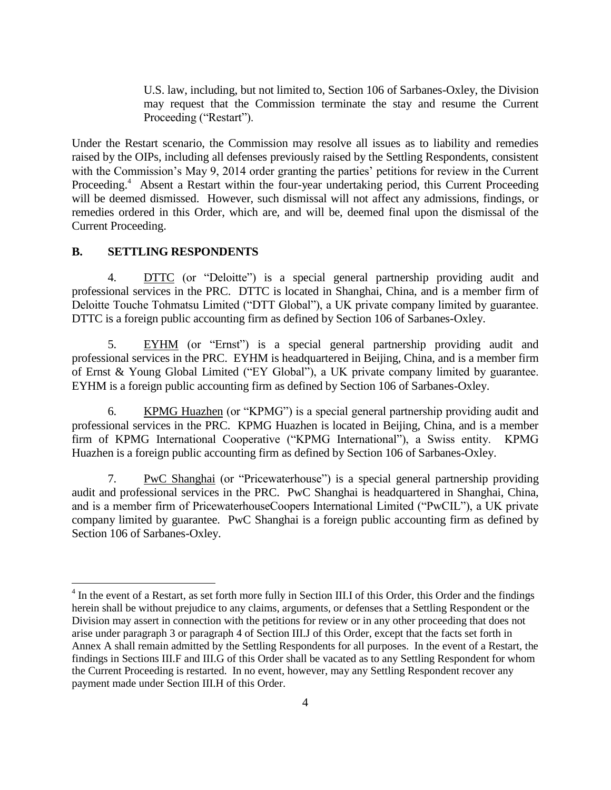U.S. law, including, but not limited to, Section 106 of Sarbanes-Oxley, the Division may request that the Commission terminate the stay and resume the Current Proceeding ("Restart").

Under the Restart scenario, the Commission may resolve all issues as to liability and remedies raised by the OIPs, including all defenses previously raised by the Settling Respondents, consistent with the Commission's May 9, 2014 order granting the parties' petitions for review in the Current Proceeding.<sup>4</sup> Absent a Restart within the four-year undertaking period, this Current Proceeding will be deemed dismissed. However, such dismissal will not affect any admissions, findings, or remedies ordered in this Order, which are, and will be, deemed final upon the dismissal of the Current Proceeding.

#### **B. SETTLING RESPONDENTS**

 $\overline{a}$ 

4. DTTC (or "Deloitte") is a special general partnership providing audit and professional services in the PRC. DTTC is located in Shanghai, China, and is a member firm of Deloitte Touche Tohmatsu Limited ("DTT Global"), a UK private company limited by guarantee. DTTC is a foreign public accounting firm as defined by Section 106 of Sarbanes-Oxley.

5. EYHM (or "Ernst") is a special general partnership providing audit and professional services in the PRC. EYHM is headquartered in Beijing, China, and is a member firm of Ernst & Young Global Limited ("EY Global"), a UK private company limited by guarantee. EYHM is a foreign public accounting firm as defined by Section 106 of Sarbanes-Oxley.

6. KPMG Huazhen (or "KPMG") is a special general partnership providing audit and professional services in the PRC. KPMG Huazhen is located in Beijing, China, and is a member firm of KPMG International Cooperative ("KPMG International"), a Swiss entity. KPMG Huazhen is a foreign public accounting firm as defined by Section 106 of Sarbanes-Oxley.

7. PwC Shanghai (or "Pricewaterhouse") is a special general partnership providing audit and professional services in the PRC. PwC Shanghai is headquartered in Shanghai, China, and is a member firm of PricewaterhouseCoopers International Limited ("PwCIL"), a UK private company limited by guarantee. PwC Shanghai is a foreign public accounting firm as defined by Section 106 of Sarbanes-Oxley.

<sup>&</sup>lt;sup>4</sup> In the event of a Restart, as set forth more fully in Section III.I of this Order, this Order and the findings herein shall be without prejudice to any claims, arguments, or defenses that a Settling Respondent or the Division may assert in connection with the petitions for review or in any other proceeding that does not arise under paragraph 3 or paragraph 4 of Section III.J of this Order, except that the facts set forth in Annex A shall remain admitted by the Settling Respondents for all purposes. In the event of a Restart, the findings in Sections III.F and III.G of this Order shall be vacated as to any Settling Respondent for whom the Current Proceeding is restarted. In no event, however, may any Settling Respondent recover any payment made under Section III.H of this Order.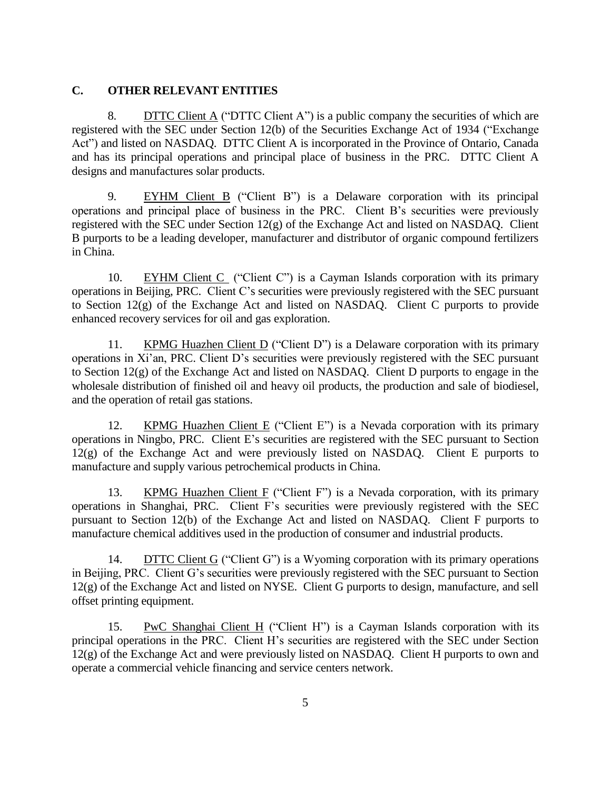# **C. OTHER RELEVANT ENTITIES**

8. DITC Client A ("DITC Client A") is a public company the securities of which are registered with the SEC under Section 12(b) of the Securities Exchange Act of 1934 ("Exchange Act") and listed on NASDAQ. DTTC Client A is incorporated in the Province of Ontario, Canada and has its principal operations and principal place of business in the PRC. DTTC Client A designs and manufactures solar products.

9. EYHM Client B ("Client B") is a Delaware corporation with its principal operations and principal place of business in the PRC. Client B's securities were previously registered with the SEC under Section 12(g) of the Exchange Act and listed on NASDAQ. Client B purports to be a leading developer, manufacturer and distributor of organic compound fertilizers in China.

10. EYHM Client C ("Client C") is a Cayman Islands corporation with its primary operations in Beijing, PRC. Client C's securities were previously registered with the SEC pursuant to Section 12(g) of the Exchange Act and listed on NASDAQ. Client C purports to provide enhanced recovery services for oil and gas exploration.

11. KPMG Huazhen Client D ("Client D") is a Delaware corporation with its primary operations in Xi'an, PRC. Client D's securities were previously registered with the SEC pursuant to Section 12(g) of the Exchange Act and listed on NASDAQ. Client D purports to engage in the wholesale distribution of finished oil and heavy oil products, the production and sale of biodiesel, and the operation of retail gas stations.

12. KPMG Huazhen Client E ("Client E") is a Nevada corporation with its primary operations in Ningbo, PRC. Client E's securities are registered with the SEC pursuant to Section 12(g) of the Exchange Act and were previously listed on NASDAQ. Client E purports to manufacture and supply various petrochemical products in China.

13. KPMG Huazhen Client F ("Client F") is a Nevada corporation, with its primary operations in Shanghai, PRC. Client F's securities were previously registered with the SEC pursuant to Section 12(b) of the Exchange Act and listed on NASDAQ. Client F purports to manufacture chemical additives used in the production of consumer and industrial products.

14. DTTC Client G ("Client G") is a Wyoming corporation with its primary operations in Beijing, PRC. Client G's securities were previously registered with the SEC pursuant to Section 12(g) of the Exchange Act and listed on NYSE. Client G purports to design, manufacture, and sell offset printing equipment.

15. PwC Shanghai Client H ("Client H") is a Cayman Islands corporation with its principal operations in the PRC. Client H's securities are registered with the SEC under Section 12(g) of the Exchange Act and were previously listed on NASDAQ. Client H purports to own and operate a commercial vehicle financing and service centers network.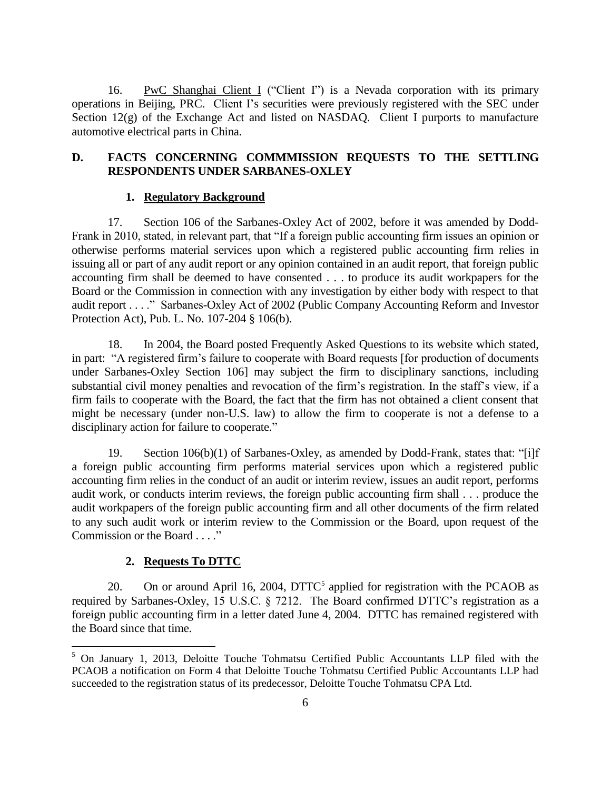16. PwC Shanghai Client I ("Client I") is a Nevada corporation with its primary operations in Beijing, PRC. Client I's securities were previously registered with the SEC under Section 12(g) of the Exchange Act and listed on NASDAQ. Client I purports to manufacture automotive electrical parts in China.

## **D. FACTS CONCERNING COMMMISSION REQUESTS TO THE SETTLING RESPONDENTS UNDER SARBANES-OXLEY**

#### **1. Regulatory Background**

17. Section 106 of the Sarbanes-Oxley Act of 2002, before it was amended by Dodd-Frank in 2010, stated, in relevant part, that "If a foreign public accounting firm issues an opinion or otherwise performs material services upon which a registered public accounting firm relies in issuing all or part of any audit report or any opinion contained in an audit report, that foreign public accounting firm shall be deemed to have consented . . . to produce its audit workpapers for the Board or the Commission in connection with any investigation by either body with respect to that audit report . . . ." Sarbanes-Oxley Act of 2002 (Public Company Accounting Reform and Investor Protection Act), Pub. L. No. 107-204 § 106(b).

18. In 2004, the Board posted Frequently Asked Questions to its website which stated, in part: "A registered firm's failure to cooperate with Board requests [for production of documents under Sarbanes-Oxley Section 106] may subject the firm to disciplinary sanctions, including substantial civil money penalties and revocation of the firm's registration. In the staff's view, if a firm fails to cooperate with the Board, the fact that the firm has not obtained a client consent that might be necessary (under non-U.S. law) to allow the firm to cooperate is not a defense to a disciplinary action for failure to cooperate."

19. Section 106(b)(1) of Sarbanes-Oxley, as amended by Dodd-Frank, states that: "[i]f a foreign public accounting firm performs material services upon which a registered public accounting firm relies in the conduct of an audit or interim review, issues an audit report, performs audit work, or conducts interim reviews, the foreign public accounting firm shall . . . produce the audit workpapers of the foreign public accounting firm and all other documents of the firm related to any such audit work or interim review to the Commission or the Board, upon request of the Commission or the Board . . . ."

## **2. Requests To DTTC**

 $\overline{a}$ 

20. On or around April 16, 2004,  $DTTC^5$  applied for registration with the PCAOB as required by Sarbanes-Oxley, 15 U.S.C. § 7212. The Board confirmed DTTC's registration as a foreign public accounting firm in a letter dated June 4, 2004. DTTC has remained registered with the Board since that time.

 $5$  On January 1, 2013, Deloitte Touche Tohmatsu Certified Public Accountants LLP filed with the PCAOB a notification on Form 4 that Deloitte Touche Tohmatsu Certified Public Accountants LLP had succeeded to the registration status of its predecessor, Deloitte Touche Tohmatsu CPA Ltd.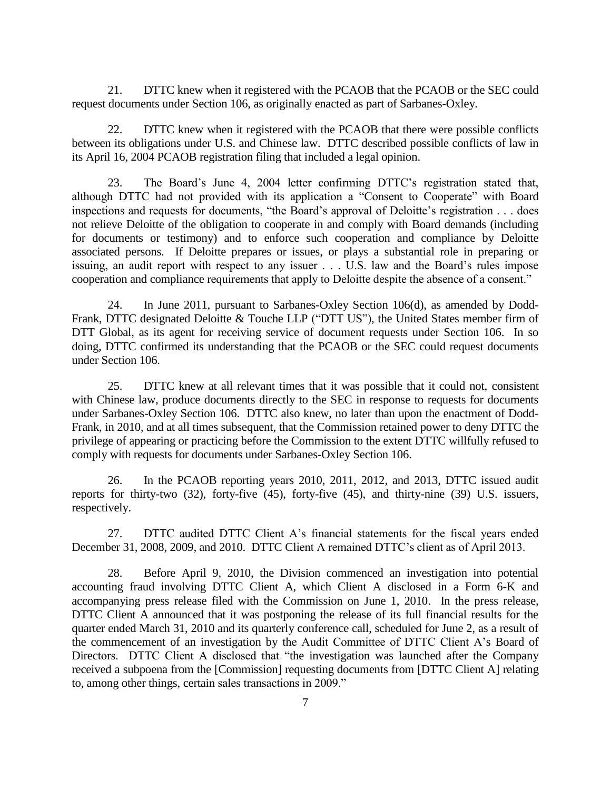21. DTTC knew when it registered with the PCAOB that the PCAOB or the SEC could request documents under Section 106, as originally enacted as part of Sarbanes-Oxley.

22. DTTC knew when it registered with the PCAOB that there were possible conflicts between its obligations under U.S. and Chinese law. DTTC described possible conflicts of law in its April 16, 2004 PCAOB registration filing that included a legal opinion.

23. The Board's June 4, 2004 letter confirming DTTC's registration stated that, although DTTC had not provided with its application a "Consent to Cooperate" with Board inspections and requests for documents, "the Board's approval of Deloitte's registration . . . does not relieve Deloitte of the obligation to cooperate in and comply with Board demands (including for documents or testimony) and to enforce such cooperation and compliance by Deloitte associated persons. If Deloitte prepares or issues, or plays a substantial role in preparing or issuing, an audit report with respect to any issuer . . . U.S. law and the Board's rules impose cooperation and compliance requirements that apply to Deloitte despite the absence of a consent."

24. In June 2011, pursuant to Sarbanes-Oxley Section 106(d), as amended by Dodd-Frank, DTTC designated Deloitte & Touche LLP ("DTT US"), the United States member firm of DTT Global, as its agent for receiving service of document requests under Section 106. In so doing, DTTC confirmed its understanding that the PCAOB or the SEC could request documents under Section 106.

25. DTTC knew at all relevant times that it was possible that it could not, consistent with Chinese law, produce documents directly to the SEC in response to requests for documents under Sarbanes-Oxley Section 106. DTTC also knew, no later than upon the enactment of Dodd-Frank, in 2010, and at all times subsequent, that the Commission retained power to deny DTTC the privilege of appearing or practicing before the Commission to the extent DTTC willfully refused to comply with requests for documents under Sarbanes-Oxley Section 106.

26. In the PCAOB reporting years 2010, 2011, 2012, and 2013, DTTC issued audit reports for thirty-two (32), forty-five (45), forty-five (45), and thirty-nine (39) U.S. issuers, respectively.

27. DTTC audited DTTC Client A's financial statements for the fiscal years ended December 31, 2008, 2009, and 2010. DTTC Client A remained DTTC's client as of April 2013.

28. Before April 9, 2010, the Division commenced an investigation into potential accounting fraud involving DTTC Client A, which Client A disclosed in a Form 6-K and accompanying press release filed with the Commission on June 1, 2010. In the press release, DTTC Client A announced that it was postponing the release of its full financial results for the quarter ended March 31, 2010 and its quarterly conference call, scheduled for June 2, as a result of the commencement of an investigation by the Audit Committee of DTTC Client A's Board of Directors. DTTC Client A disclosed that "the investigation was launched after the Company received a subpoena from the [Commission] requesting documents from [DTTC Client A] relating to, among other things, certain sales transactions in 2009."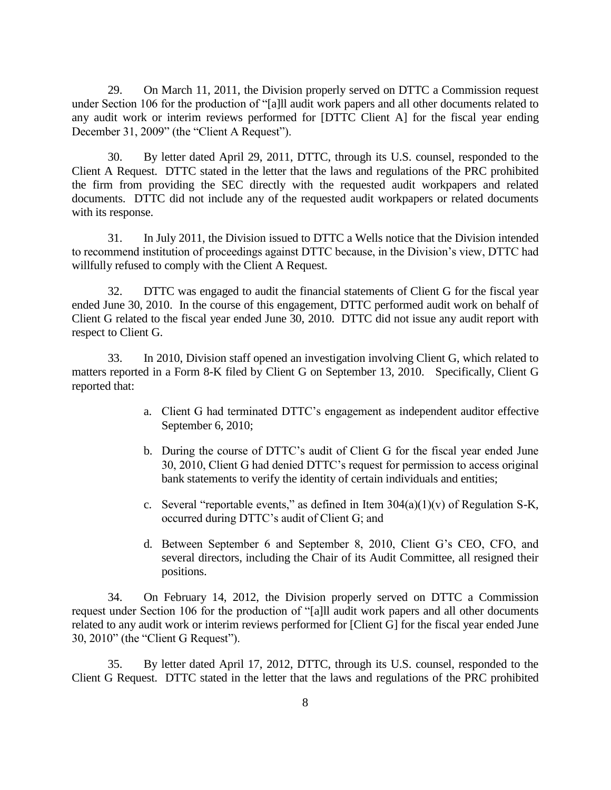29. On March 11, 2011, the Division properly served on DTTC a Commission request under Section 106 for the production of "[a]ll audit work papers and all other documents related to any audit work or interim reviews performed for [DTTC Client A] for the fiscal year ending December 31, 2009" (the "Client A Request").

30. By letter dated April 29, 2011, DTTC, through its U.S. counsel, responded to the Client A Request. DTTC stated in the letter that the laws and regulations of the PRC prohibited the firm from providing the SEC directly with the requested audit workpapers and related documents. DTTC did not include any of the requested audit workpapers or related documents with its response.

31. In July 2011, the Division issued to DTTC a Wells notice that the Division intended to recommend institution of proceedings against DTTC because, in the Division's view, DTTC had willfully refused to comply with the Client A Request.

32. DTTC was engaged to audit the financial statements of Client G for the fiscal year ended June 30, 2010. In the course of this engagement, DTTC performed audit work on behalf of Client G related to the fiscal year ended June 30, 2010. DTTC did not issue any audit report with respect to Client G.

33. In 2010, Division staff opened an investigation involving Client G, which related to matters reported in a Form 8-K filed by Client G on September 13, 2010. Specifically, Client G reported that:

- a. Client G had terminated DTTC's engagement as independent auditor effective September 6, 2010;
- b. During the course of DTTC's audit of Client G for the fiscal year ended June 30, 2010, Client G had denied DTTC's request for permission to access original bank statements to verify the identity of certain individuals and entities;
- c. Several "reportable events," as defined in Item  $304(a)(1)(v)$  of Regulation S-K, occurred during DTTC's audit of Client G; and
- d. Between September 6 and September 8, 2010, Client G's CEO, CFO, and several directors, including the Chair of its Audit Committee, all resigned their positions.

34. On February 14, 2012, the Division properly served on DTTC a Commission request under Section 106 for the production of "[a]ll audit work papers and all other documents related to any audit work or interim reviews performed for [Client G] for the fiscal year ended June 30, 2010" (the "Client G Request").

35. By letter dated April 17, 2012, DTTC, through its U.S. counsel, responded to the Client G Request. DTTC stated in the letter that the laws and regulations of the PRC prohibited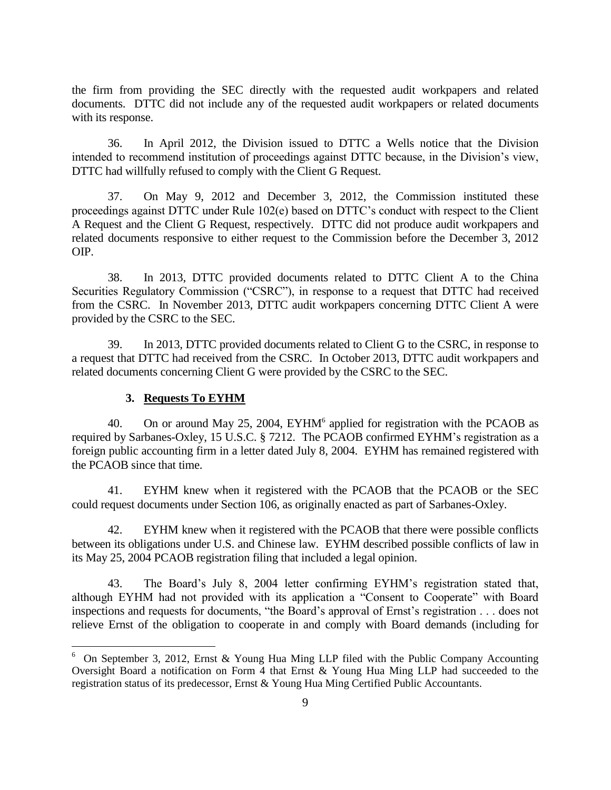the firm from providing the SEC directly with the requested audit workpapers and related documents. DTTC did not include any of the requested audit workpapers or related documents with its response.

36. In April 2012, the Division issued to DTTC a Wells notice that the Division intended to recommend institution of proceedings against DTTC because, in the Division's view, DTTC had willfully refused to comply with the Client G Request.

37. On May 9, 2012 and December 3, 2012, the Commission instituted these proceedings against DTTC under Rule 102(e) based on DTTC's conduct with respect to the Client A Request and the Client G Request, respectively. DTTC did not produce audit workpapers and related documents responsive to either request to the Commission before the December 3, 2012 OIP.

38. In 2013, DTTC provided documents related to DTTC Client A to the China Securities Regulatory Commission ("CSRC"), in response to a request that DTTC had received from the CSRC. In November 2013, DTTC audit workpapers concerning DTTC Client A were provided by the CSRC to the SEC.

39. In 2013, DTTC provided documents related to Client G to the CSRC, in response to a request that DTTC had received from the CSRC. In October 2013, DTTC audit workpapers and related documents concerning Client G were provided by the CSRC to the SEC.

#### **3. Requests To EYHM**

 $\overline{a}$ 

40. On or around May 25, 2004,  $EYHM^6$  applied for registration with the PCAOB as required by Sarbanes-Oxley, 15 U.S.C. § 7212. The PCAOB confirmed EYHM's registration as a foreign public accounting firm in a letter dated July 8, 2004. EYHM has remained registered with the PCAOB since that time.

41. EYHM knew when it registered with the PCAOB that the PCAOB or the SEC could request documents under Section 106, as originally enacted as part of Sarbanes-Oxley.

42. EYHM knew when it registered with the PCAOB that there were possible conflicts between its obligations under U.S. and Chinese law. EYHM described possible conflicts of law in its May 25, 2004 PCAOB registration filing that included a legal opinion.

43. The Board's July 8, 2004 letter confirming EYHM's registration stated that, although EYHM had not provided with its application a "Consent to Cooperate" with Board inspections and requests for documents, "the Board's approval of Ernst's registration . . . does not relieve Ernst of the obligation to cooperate in and comply with Board demands (including for

<sup>&</sup>lt;sup>6</sup> On September 3, 2012, Ernst & Young Hua Ming LLP filed with the Public Company Accounting Oversight Board a notification on Form 4 that Ernst & Young Hua Ming LLP had succeeded to the registration status of its predecessor, Ernst & Young Hua Ming Certified Public Accountants.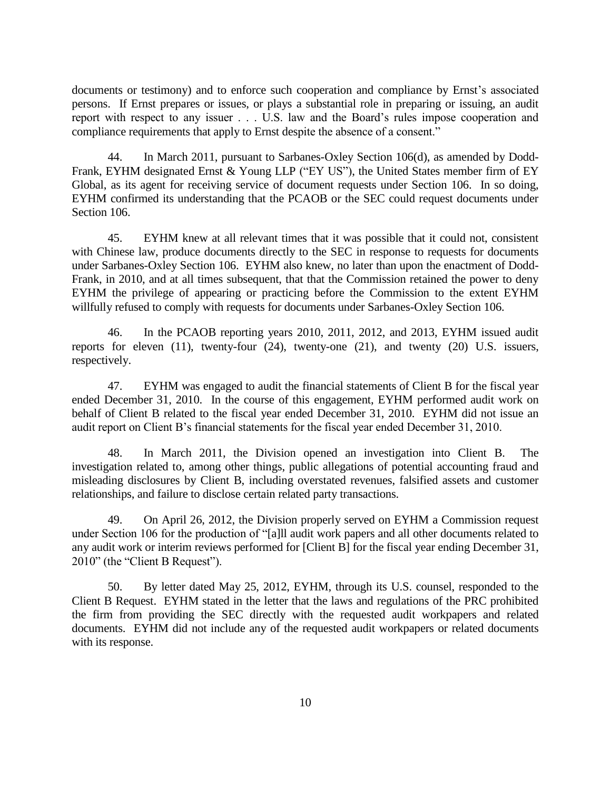documents or testimony) and to enforce such cooperation and compliance by Ernst's associated persons. If Ernst prepares or issues, or plays a substantial role in preparing or issuing, an audit report with respect to any issuer . . . U.S. law and the Board's rules impose cooperation and compliance requirements that apply to Ernst despite the absence of a consent."

44. In March 2011, pursuant to Sarbanes-Oxley Section 106(d), as amended by Dodd-Frank, EYHM designated Ernst & Young LLP ("EY US"), the United States member firm of EY Global, as its agent for receiving service of document requests under Section 106. In so doing, EYHM confirmed its understanding that the PCAOB or the SEC could request documents under Section 106.

45. EYHM knew at all relevant times that it was possible that it could not, consistent with Chinese law, produce documents directly to the SEC in response to requests for documents under Sarbanes-Oxley Section 106. EYHM also knew, no later than upon the enactment of Dodd-Frank, in 2010, and at all times subsequent, that that the Commission retained the power to deny EYHM the privilege of appearing or practicing before the Commission to the extent EYHM willfully refused to comply with requests for documents under Sarbanes-Oxley Section 106.

46. In the PCAOB reporting years 2010, 2011, 2012, and 2013, EYHM issued audit reports for eleven (11), twenty-four (24), twenty-one (21), and twenty (20) U.S. issuers, respectively.

47. EYHM was engaged to audit the financial statements of Client B for the fiscal year ended December 31, 2010. In the course of this engagement, EYHM performed audit work on behalf of Client B related to the fiscal year ended December 31, 2010. EYHM did not issue an audit report on Client B's financial statements for the fiscal year ended December 31, 2010.

48. In March 2011, the Division opened an investigation into Client B. The investigation related to, among other things, public allegations of potential accounting fraud and misleading disclosures by Client B, including overstated revenues, falsified assets and customer relationships, and failure to disclose certain related party transactions.

49. On April 26, 2012, the Division properly served on EYHM a Commission request under Section 106 for the production of "[a]ll audit work papers and all other documents related to any audit work or interim reviews performed for [Client B] for the fiscal year ending December 31, 2010" (the "Client B Request").

50. By letter dated May 25, 2012, EYHM, through its U.S. counsel, responded to the Client B Request. EYHM stated in the letter that the laws and regulations of the PRC prohibited the firm from providing the SEC directly with the requested audit workpapers and related documents. EYHM did not include any of the requested audit workpapers or related documents with its response.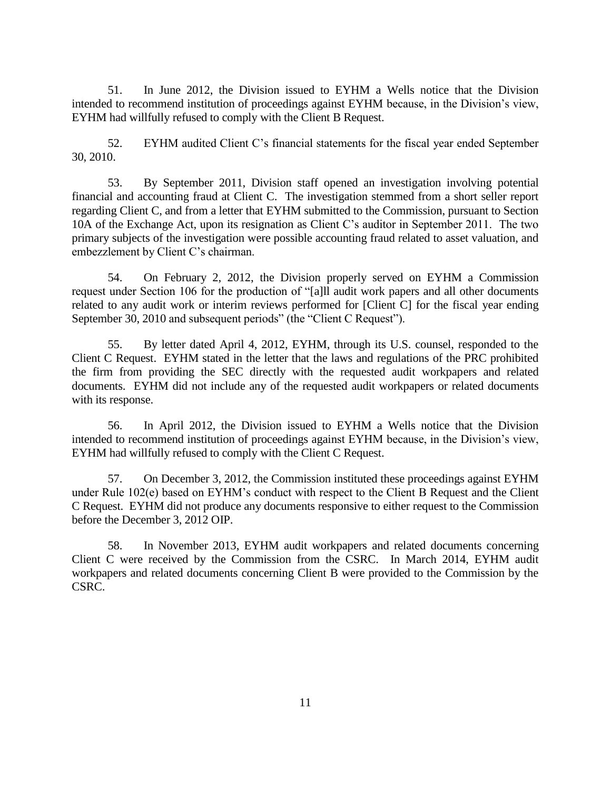51. In June 2012, the Division issued to EYHM a Wells notice that the Division intended to recommend institution of proceedings against EYHM because, in the Division's view, EYHM had willfully refused to comply with the Client B Request.

52. EYHM audited Client C's financial statements for the fiscal year ended September 30, 2010.

53. By September 2011, Division staff opened an investigation involving potential financial and accounting fraud at Client C. The investigation stemmed from a short seller report regarding Client C, and from a letter that EYHM submitted to the Commission, pursuant to Section 10A of the Exchange Act, upon its resignation as Client C's auditor in September 2011. The two primary subjects of the investigation were possible accounting fraud related to asset valuation, and embezzlement by Client C's chairman.

54. On February 2, 2012, the Division properly served on EYHM a Commission request under Section 106 for the production of "[a]ll audit work papers and all other documents related to any audit work or interim reviews performed for [Client C] for the fiscal year ending September 30, 2010 and subsequent periods" (the "Client C Request").

55. By letter dated April 4, 2012, EYHM, through its U.S. counsel, responded to the Client C Request. EYHM stated in the letter that the laws and regulations of the PRC prohibited the firm from providing the SEC directly with the requested audit workpapers and related documents. EYHM did not include any of the requested audit workpapers or related documents with its response.

56. In April 2012, the Division issued to EYHM a Wells notice that the Division intended to recommend institution of proceedings against EYHM because, in the Division's view, EYHM had willfully refused to comply with the Client C Request.

57. On December 3, 2012, the Commission instituted these proceedings against EYHM under Rule 102(e) based on EYHM's conduct with respect to the Client B Request and the Client C Request. EYHM did not produce any documents responsive to either request to the Commission before the December 3, 2012 OIP.

58. In November 2013, EYHM audit workpapers and related documents concerning Client C were received by the Commission from the CSRC. In March 2014, EYHM audit workpapers and related documents concerning Client B were provided to the Commission by the CSRC.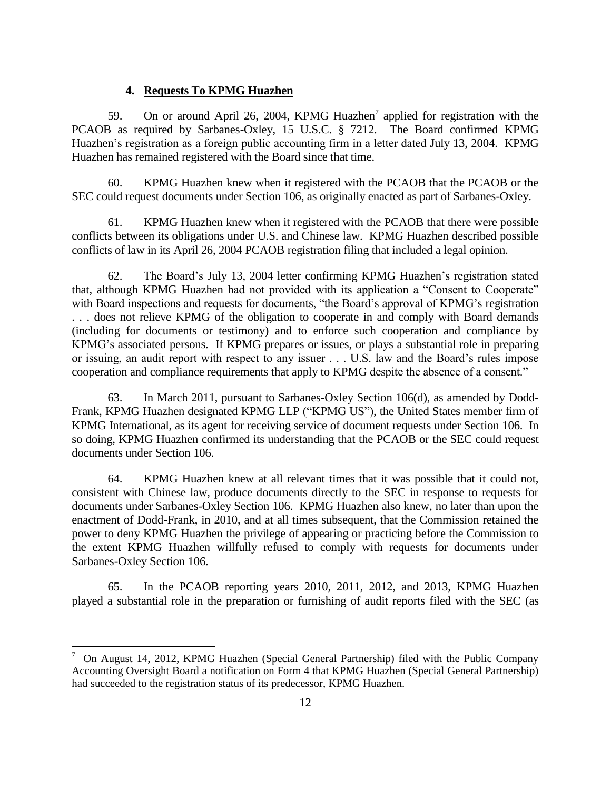#### **4. Requests To KPMG Huazhen**

59. On or around April 26, 2004, KPMG Huazhen<sup>7</sup> applied for registration with the PCAOB as required by Sarbanes-Oxley, 15 U.S.C. § 7212. The Board confirmed KPMG Huazhen's registration as a foreign public accounting firm in a letter dated July 13, 2004. KPMG Huazhen has remained registered with the Board since that time.

60. KPMG Huazhen knew when it registered with the PCAOB that the PCAOB or the SEC could request documents under Section 106, as originally enacted as part of Sarbanes-Oxley.

61. KPMG Huazhen knew when it registered with the PCAOB that there were possible conflicts between its obligations under U.S. and Chinese law. KPMG Huazhen described possible conflicts of law in its April 26, 2004 PCAOB registration filing that included a legal opinion.

62. The Board's July 13, 2004 letter confirming KPMG Huazhen's registration stated that, although KPMG Huazhen had not provided with its application a "Consent to Cooperate" with Board inspections and requests for documents, "the Board's approval of KPMG's registration . . . does not relieve KPMG of the obligation to cooperate in and comply with Board demands (including for documents or testimony) and to enforce such cooperation and compliance by KPMG's associated persons. If KPMG prepares or issues, or plays a substantial role in preparing or issuing, an audit report with respect to any issuer . . . U.S. law and the Board's rules impose cooperation and compliance requirements that apply to KPMG despite the absence of a consent."

63. In March 2011, pursuant to Sarbanes-Oxley Section 106(d), as amended by Dodd-Frank, KPMG Huazhen designated KPMG LLP ("KPMG US"), the United States member firm of KPMG International, as its agent for receiving service of document requests under Section 106. In so doing, KPMG Huazhen confirmed its understanding that the PCAOB or the SEC could request documents under Section 106.

64. KPMG Huazhen knew at all relevant times that it was possible that it could not, consistent with Chinese law, produce documents directly to the SEC in response to requests for documents under Sarbanes-Oxley Section 106. KPMG Huazhen also knew, no later than upon the enactment of Dodd-Frank, in 2010, and at all times subsequent, that the Commission retained the power to deny KPMG Huazhen the privilege of appearing or practicing before the Commission to the extent KPMG Huazhen willfully refused to comply with requests for documents under Sarbanes-Oxley Section 106.

65. In the PCAOB reporting years 2010, 2011, 2012, and 2013, KPMG Huazhen played a substantial role in the preparation or furnishing of audit reports filed with the SEC (as

 $\overline{a}$ 

<sup>7</sup> On August 14, 2012, KPMG Huazhen (Special General Partnership) filed with the Public Company Accounting Oversight Board a notification on Form 4 that KPMG Huazhen (Special General Partnership) had succeeded to the registration status of its predecessor, KPMG Huazhen.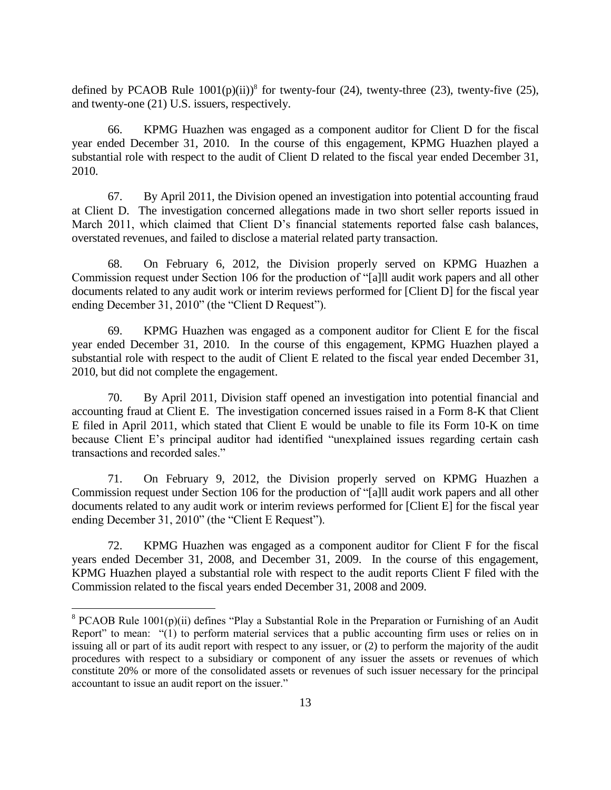defined by PCAOB Rule  $1001(p)(ii)$ <sup>8</sup> for twenty-four (24), twenty-three (23), twenty-five (25), and twenty-one (21) U.S. issuers, respectively.

66. KPMG Huazhen was engaged as a component auditor for Client D for the fiscal year ended December 31, 2010. In the course of this engagement, KPMG Huazhen played a substantial role with respect to the audit of Client D related to the fiscal year ended December 31, 2010.

67. By April 2011, the Division opened an investigation into potential accounting fraud at Client D. The investigation concerned allegations made in two short seller reports issued in March 2011, which claimed that Client D's financial statements reported false cash balances, overstated revenues, and failed to disclose a material related party transaction.

68. On February 6, 2012, the Division properly served on KPMG Huazhen a Commission request under Section 106 for the production of "[a]ll audit work papers and all other documents related to any audit work or interim reviews performed for [Client D] for the fiscal year ending December 31, 2010" (the "Client D Request").

69. KPMG Huazhen was engaged as a component auditor for Client E for the fiscal year ended December 31, 2010. In the course of this engagement, KPMG Huazhen played a substantial role with respect to the audit of Client E related to the fiscal year ended December 31, 2010, but did not complete the engagement.

70. By April 2011, Division staff opened an investigation into potential financial and accounting fraud at Client E. The investigation concerned issues raised in a Form 8-K that Client E filed in April 2011, which stated that Client E would be unable to file its Form 10-K on time because Client E's principal auditor had identified "unexplained issues regarding certain cash transactions and recorded sales."

71. On February 9, 2012, the Division properly served on KPMG Huazhen a Commission request under Section 106 for the production of "[a]ll audit work papers and all other documents related to any audit work or interim reviews performed for [Client E] for the fiscal year ending December 31, 2010" (the "Client E Request").

72. KPMG Huazhen was engaged as a component auditor for Client F for the fiscal years ended December 31, 2008, and December 31, 2009. In the course of this engagement, KPMG Huazhen played a substantial role with respect to the audit reports Client F filed with the Commission related to the fiscal years ended December 31, 2008 and 2009.

 $\overline{a}$ 

<sup>&</sup>lt;sup>8</sup> PCAOB Rule 1001(p)(ii) defines "Play a Substantial Role in the Preparation or Furnishing of an Audit Report" to mean: "(1) to perform material services that a public accounting firm uses or relies on in issuing all or part of its audit report with respect to any issuer, or (2) to perform the majority of the audit procedures with respect to a subsidiary or component of any issuer the assets or revenues of which constitute 20% or more of the consolidated assets or revenues of such issuer necessary for the principal accountant to issue an audit report on the issuer."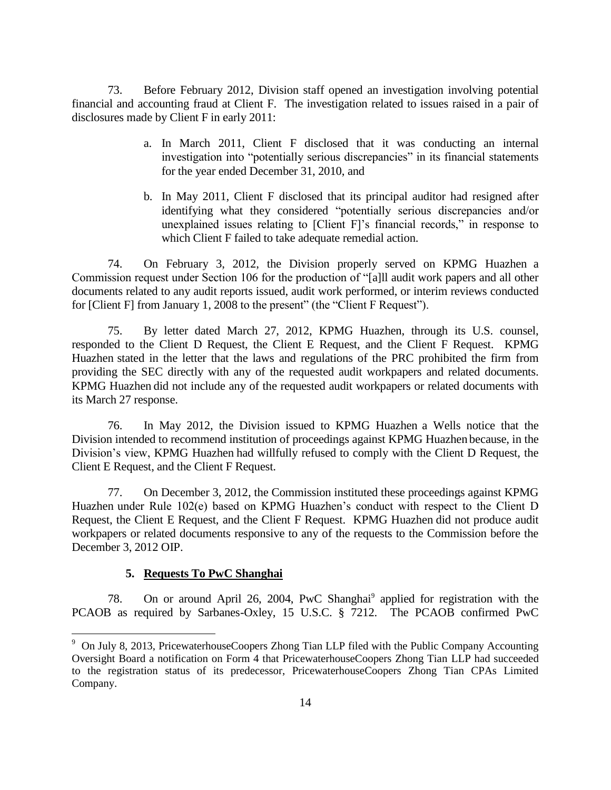73. Before February 2012, Division staff opened an investigation involving potential financial and accounting fraud at Client F. The investigation related to issues raised in a pair of disclosures made by Client F in early 2011:

- a. In March 2011, Client F disclosed that it was conducting an internal investigation into "potentially serious discrepancies" in its financial statements for the year ended December 31, 2010, and
- b. In May 2011, Client F disclosed that its principal auditor had resigned after identifying what they considered "potentially serious discrepancies and/or unexplained issues relating to [Client F]'s financial records," in response to which Client F failed to take adequate remedial action.

74. On February 3, 2012, the Division properly served on KPMG Huazhen a Commission request under Section 106 for the production of "[a]ll audit work papers and all other documents related to any audit reports issued, audit work performed, or interim reviews conducted for [Client F] from January 1, 2008 to the present" (the "Client F Request").

75. By letter dated March 27, 2012, KPMG Huazhen, through its U.S. counsel, responded to the Client D Request, the Client E Request, and the Client F Request. KPMG Huazhen stated in the letter that the laws and regulations of the PRC prohibited the firm from providing the SEC directly with any of the requested audit workpapers and related documents. KPMG Huazhen did not include any of the requested audit workpapers or related documents with its March 27 response.

76. In May 2012, the Division issued to KPMG Huazhen a Wells notice that the Division intended to recommend institution of proceedings against KPMG Huazhen because, in the Division's view, KPMG Huazhen had willfully refused to comply with the Client D Request, the Client E Request, and the Client F Request.

77. On December 3, 2012, the Commission instituted these proceedings against KPMG Huazhen under Rule 102(e) based on KPMG Huazhen's conduct with respect to the Client D Request, the Client E Request, and the Client F Request. KPMG Huazhen did not produce audit workpapers or related documents responsive to any of the requests to the Commission before the December 3, 2012 OIP.

## **5. Requests To PwC Shanghai**

 $\overline{a}$ 

78. On or around April 26, 2004, PwC Shanghai<sup>9</sup> applied for registration with the PCAOB as required by Sarbanes-Oxley, 15 U.S.C. § 7212. The PCAOB confirmed PwC

<sup>&</sup>lt;sup>9</sup> On July 8, 2013, PricewaterhouseCoopers Zhong Tian LLP filed with the Public Company Accounting Oversight Board a notification on Form 4 that PricewaterhouseCoopers Zhong Tian LLP had succeeded to the registration status of its predecessor, PricewaterhouseCoopers Zhong Tian CPAs Limited Company.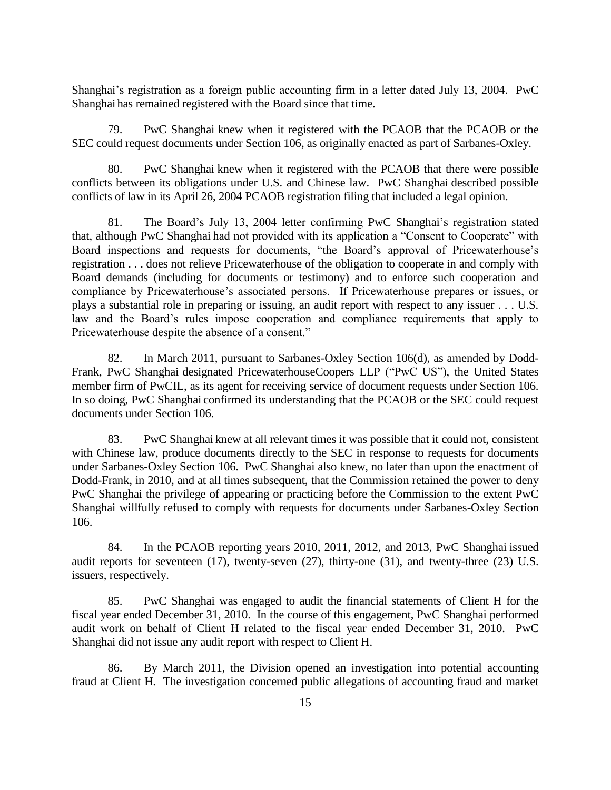Shanghai's registration as a foreign public accounting firm in a letter dated July 13, 2004. PwC Shanghai has remained registered with the Board since that time.

79. PwC Shanghai knew when it registered with the PCAOB that the PCAOB or the SEC could request documents under Section 106, as originally enacted as part of Sarbanes-Oxley.

80. PwC Shanghai knew when it registered with the PCAOB that there were possible conflicts between its obligations under U.S. and Chinese law. PwC Shanghai described possible conflicts of law in its April 26, 2004 PCAOB registration filing that included a legal opinion.

81. The Board's July 13, 2004 letter confirming PwC Shanghai's registration stated that, although PwC Shanghai had not provided with its application a "Consent to Cooperate" with Board inspections and requests for documents, "the Board's approval of Pricewaterhouse's registration . . . does not relieve Pricewaterhouse of the obligation to cooperate in and comply with Board demands (including for documents or testimony) and to enforce such cooperation and compliance by Pricewaterhouse's associated persons. If Pricewaterhouse prepares or issues, or plays a substantial role in preparing or issuing, an audit report with respect to any issuer . . . U.S. law and the Board's rules impose cooperation and compliance requirements that apply to Pricewaterhouse despite the absence of a consent."

82. In March 2011, pursuant to Sarbanes-Oxley Section 106(d), as amended by Dodd-Frank, PwC Shanghai designated PricewaterhouseCoopers LLP ("PwC US"), the United States member firm of PwCIL, as its agent for receiving service of document requests under Section 106. In so doing, PwC Shanghai confirmed its understanding that the PCAOB or the SEC could request documents under Section 106.

83. PwC Shanghai knew at all relevant times it was possible that it could not, consistent with Chinese law, produce documents directly to the SEC in response to requests for documents under Sarbanes-Oxley Section 106. PwC Shanghai also knew, no later than upon the enactment of Dodd-Frank, in 2010, and at all times subsequent, that the Commission retained the power to deny PwC Shanghai the privilege of appearing or practicing before the Commission to the extent PwC Shanghai willfully refused to comply with requests for documents under Sarbanes-Oxley Section 106.

84. In the PCAOB reporting years 2010, 2011, 2012, and 2013, PwC Shanghai issued audit reports for seventeen (17), twenty-seven (27), thirty-one (31), and twenty-three (23) U.S. issuers, respectively.

85. PwC Shanghai was engaged to audit the financial statements of Client H for the fiscal year ended December 31, 2010. In the course of this engagement, PwC Shanghai performed audit work on behalf of Client H related to the fiscal year ended December 31, 2010. PwC Shanghai did not issue any audit report with respect to Client H.

86. By March 2011, the Division opened an investigation into potential accounting fraud at Client H. The investigation concerned public allegations of accounting fraud and market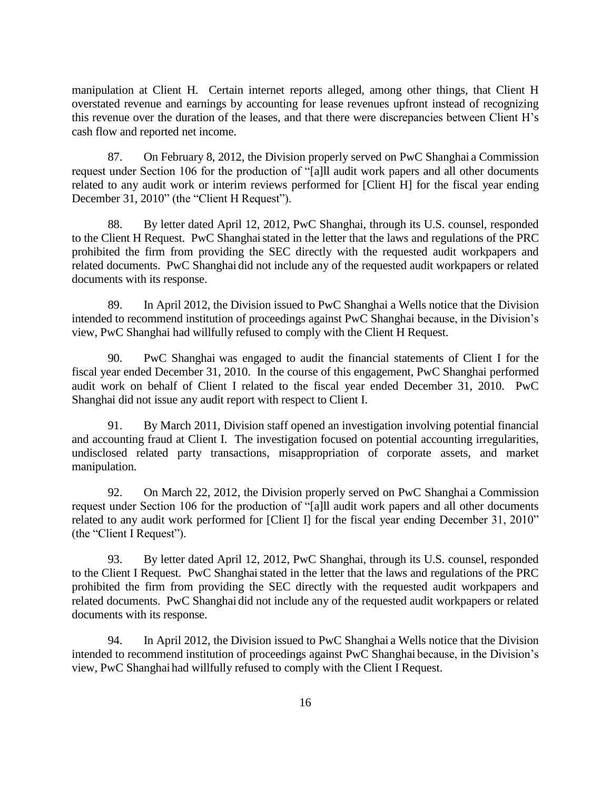manipulation at Client H. Certain internet reports alleged, among other things, that Client H overstated revenue and earnings by accounting for lease revenues upfront instead of recognizing this revenue over the duration of the leases, and that there were discrepancies between Client H's cash flow and reported net income.

87. On February 8, 2012, the Division properly served on PwC Shanghai a Commission request under Section 106 for the production of "[a]ll audit work papers and all other documents related to any audit work or interim reviews performed for [Client H] for the fiscal year ending December 31, 2010" (the "Client H Request").

88. By letter dated April 12, 2012, PwC Shanghai, through its U.S. counsel, responded to the Client H Request. PwC Shanghai stated in the letter that the laws and regulations of the PRC prohibited the firm from providing the SEC directly with the requested audit workpapers and related documents. PwC Shanghai did not include any of the requested audit workpapers or related documents with its response.

89. In April 2012, the Division issued to PwC Shanghai a Wells notice that the Division intended to recommend institution of proceedings against PwC Shanghai because, in the Division's view, PwC Shanghai had willfully refused to comply with the Client H Request.

90. PwC Shanghai was engaged to audit the financial statements of Client I for the fiscal year ended December 31, 2010. In the course of this engagement, PwC Shanghai performed audit work on behalf of Client I related to the fiscal year ended December 31, 2010. PwC Shanghai did not issue any audit report with respect to Client I.

91. By March 2011, Division staff opened an investigation involving potential financial and accounting fraud at Client I. The investigation focused on potential accounting irregularities, undisclosed related party transactions, misappropriation of corporate assets, and market manipulation.

92. On March 22, 2012, the Division properly served on PwC Shanghai a Commission request under Section 106 for the production of "[a]ll audit work papers and all other documents related to any audit work performed for [Client I] for the fiscal year ending December 31, 2010" (the "Client I Request").

93. By letter dated April 12, 2012, PwC Shanghai, through its U.S. counsel, responded to the Client I Request. PwC Shanghai stated in the letter that the laws and regulations of the PRC prohibited the firm from providing the SEC directly with the requested audit workpapers and related documents. PwC Shanghai did not include any of the requested audit workpapers or related documents with its response.

94. In April 2012, the Division issued to PwC Shanghai a Wells notice that the Division intended to recommend institution of proceedings against PwC Shanghai because, in the Division's view, PwC Shanghai had willfully refused to comply with the Client I Request.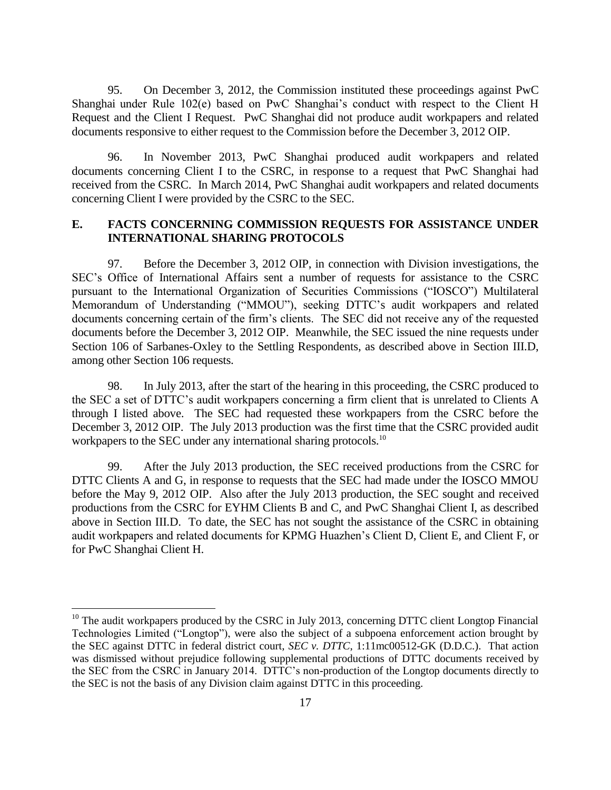95. On December 3, 2012, the Commission instituted these proceedings against PwC Shanghai under Rule 102(e) based on PwC Shanghai's conduct with respect to the Client H Request and the Client I Request. PwC Shanghai did not produce audit workpapers and related documents responsive to either request to the Commission before the December 3, 2012 OIP.

96. In November 2013, PwC Shanghai produced audit workpapers and related documents concerning Client I to the CSRC, in response to a request that PwC Shanghai had received from the CSRC. In March 2014, PwC Shanghai audit workpapers and related documents concerning Client I were provided by the CSRC to the SEC.

## **E. FACTS CONCERNING COMMISSION REQUESTS FOR ASSISTANCE UNDER INTERNATIONAL SHARING PROTOCOLS**

97. Before the December 3, 2012 OIP, in connection with Division investigations, the SEC's Office of International Affairs sent a number of requests for assistance to the CSRC pursuant to the International Organization of Securities Commissions ("IOSCO") Multilateral Memorandum of Understanding ("MMOU"), seeking DTTC's audit workpapers and related documents concerning certain of the firm's clients. The SEC did not receive any of the requested documents before the December 3, 2012 OIP. Meanwhile, the SEC issued the nine requests under Section 106 of Sarbanes-Oxley to the Settling Respondents, as described above in Section III.D, among other Section 106 requests.

98. In July 2013, after the start of the hearing in this proceeding, the CSRC produced to the SEC a set of DTTC's audit workpapers concerning a firm client that is unrelated to Clients A through I listed above. The SEC had requested these workpapers from the CSRC before the December 3, 2012 OIP. The July 2013 production was the first time that the CSRC provided audit workpapers to the SEC under any international sharing protocols.<sup>10</sup>

99. After the July 2013 production, the SEC received productions from the CSRC for DTTC Clients A and G, in response to requests that the SEC had made under the IOSCO MMOU before the May 9, 2012 OIP. Also after the July 2013 production, the SEC sought and received productions from the CSRC for EYHM Clients B and C, and PwC Shanghai Client I, as described above in Section III.D. To date, the SEC has not sought the assistance of the CSRC in obtaining audit workpapers and related documents for KPMG Huazhen's Client D, Client E, and Client F, or for PwC Shanghai Client H.

 $\overline{a}$ 

 $10$  The audit workpapers produced by the CSRC in July 2013, concerning DTTC client Longtop Financial Technologies Limited ("Longtop"), were also the subject of a subpoena enforcement action brought by the SEC against DTTC in federal district court, *SEC v. DTTC*, 1:11mc00512-GK (D.D.C.). That action was dismissed without prejudice following supplemental productions of DTTC documents received by the SEC from the CSRC in January 2014. DTTC's non-production of the Longtop documents directly to the SEC is not the basis of any Division claim against DTTC in this proceeding.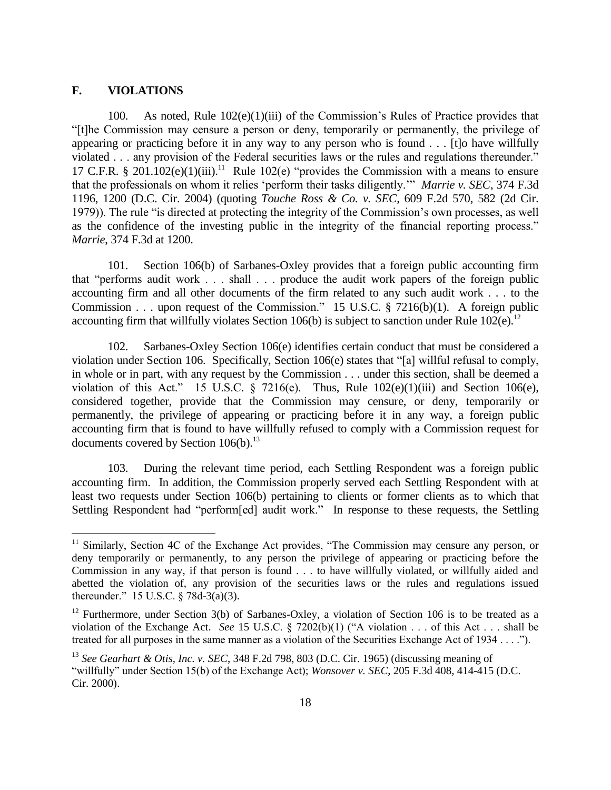## **F. VIOLATIONS**

 $\overline{a}$ 

100. As noted, Rule 102(e)(1)(iii) of the Commission's Rules of Practice provides that "[t]he Commission may censure a person or deny, temporarily or permanently, the privilege of appearing or practicing before it in any way to any person who is found . . . [t]o have willfully violated . . . any provision of the Federal securities laws or the rules and regulations thereunder." 17 C.F.R. § 201.102(e)(1)(iii).<sup>11</sup> Rule 102(e) "provides the Commission with a means to ensure that the professionals on whom it relies 'perform their tasks diligently.'" *Marrie v. SEC*, 374 F.3d 1196, 1200 (D.C. Cir. 2004) (quoting *Touche Ross & Co. v. SEC*, 609 F.2d 570, 582 (2d Cir. 1979)). The rule "is directed at protecting the integrity of the Commission's own processes, as well as the confidence of the investing public in the integrity of the financial reporting process." *Marrie*, 374 F.3d at 1200.

101. Section 106(b) of Sarbanes-Oxley provides that a foreign public accounting firm that "performs audit work . . . shall . . . produce the audit work papers of the foreign public accounting firm and all other documents of the firm related to any such audit work . . . to the Commission . . . upon request of the Commission." 15 U.S.C. § 7216(b)(1). A foreign public accounting firm that willfully violates Section 106(b) is subject to sanction under Rule  $102(e)$ .<sup>12</sup>

102. Sarbanes-Oxley Section 106(e) identifies certain conduct that must be considered a violation under Section 106. Specifically, Section 106(e) states that "[a] willful refusal to comply, in whole or in part, with any request by the Commission . . . under this section, shall be deemed a violation of this Act." 15 U.S.C. § 7216(e). Thus, Rule  $102(e)(1)(iii)$  and Section 106(e), considered together, provide that the Commission may censure, or deny, temporarily or permanently, the privilege of appearing or practicing before it in any way, a foreign public accounting firm that is found to have willfully refused to comply with a Commission request for documents covered by Section  $106(b)$ .<sup>13</sup>

103. During the relevant time period, each Settling Respondent was a foreign public accounting firm. In addition, the Commission properly served each Settling Respondent with at least two requests under Section 106(b) pertaining to clients or former clients as to which that Settling Respondent had "perform[ed] audit work." In response to these requests, the Settling

<sup>&</sup>lt;sup>11</sup> Similarly, Section 4C of the Exchange Act provides, "The Commission may censure any person, or deny temporarily or permanently, to any person the privilege of appearing or practicing before the Commission in any way, if that person is found . . . to have willfully violated, or willfully aided and abetted the violation of, any provision of the securities laws or the rules and regulations issued thereunder." 15 U.S.C. § 78d-3(a)(3).

<sup>&</sup>lt;sup>12</sup> Furthermore, under Section 3(b) of Sarbanes-Oxley, a violation of Section 106 is to be treated as a violation of the Exchange Act. *See* 15 U.S.C. § 7202(b)(1) ("A violation . . . of this Act . . . shall be treated for all purposes in the same manner as a violation of the Securities Exchange Act of 1934 . . . .").

<sup>13</sup> *See Gearhart & Otis, Inc. v. SEC*, 348 F.2d 798, 803 (D.C. Cir. 1965) (discussing meaning of "willfully" under Section 15(b) of the Exchange Act); *Wonsover v. SEC*, 205 F.3d 408, 414-415 (D.C. Cir. 2000).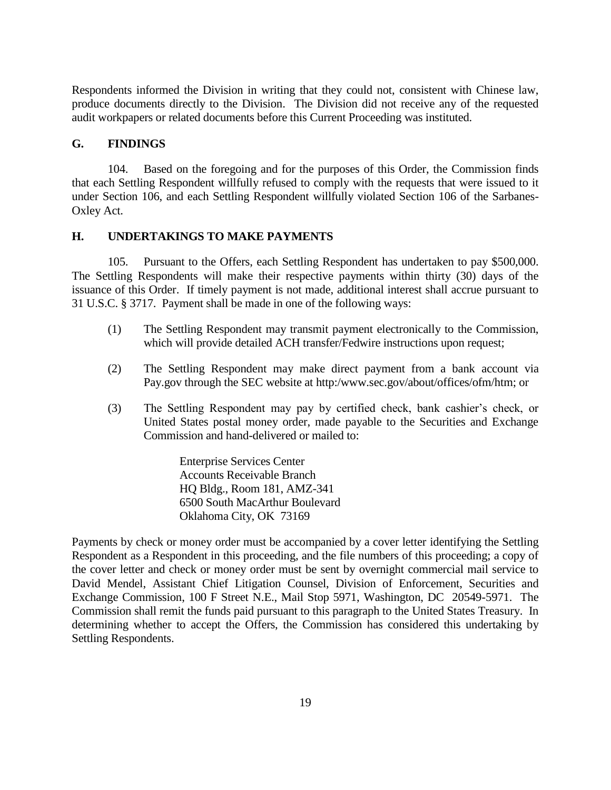Respondents informed the Division in writing that they could not, consistent with Chinese law, produce documents directly to the Division. The Division did not receive any of the requested audit workpapers or related documents before this Current Proceeding was instituted.

#### **G. FINDINGS**

104. Based on the foregoing and for the purposes of this Order, the Commission finds that each Settling Respondent willfully refused to comply with the requests that were issued to it under Section 106, and each Settling Respondent willfully violated Section 106 of the Sarbanes-Oxley Act.

## **H. UNDERTAKINGS TO MAKE PAYMENTS**

105. Pursuant to the Offers, each Settling Respondent has undertaken to pay \$500,000. The Settling Respondents will make their respective payments within thirty (30) days of the issuance of this Order. If timely payment is not made, additional interest shall accrue pursuant to 31 U.S.C. § 3717. Payment shall be made in one of the following ways:

- (1) The Settling Respondent may transmit payment electronically to the Commission, which will provide detailed ACH transfer/Fedwire instructions upon request;
- (2) The Settling Respondent may make direct payment from a bank account via Pay.gov through the SEC website at http:/www.sec.gov/about/offices/ofm/htm; or
- (3) The Settling Respondent may pay by certified check, bank cashier's check, or United States postal money order, made payable to the Securities and Exchange Commission and hand-delivered or mailed to:

Enterprise Services Center Accounts Receivable Branch HQ Bldg., Room 181, AMZ-341 6500 South MacArthur Boulevard Oklahoma City, OK 73169

Payments by check or money order must be accompanied by a cover letter identifying the Settling Respondent as a Respondent in this proceeding, and the file numbers of this proceeding; a copy of the cover letter and check or money order must be sent by overnight commercial mail service to David Mendel, Assistant Chief Litigation Counsel, Division of Enforcement, Securities and Exchange Commission, 100 F Street N.E., Mail Stop 5971, Washington, DC 20549-5971. The Commission shall remit the funds paid pursuant to this paragraph to the United States Treasury. In determining whether to accept the Offers, the Commission has considered this undertaking by Settling Respondents.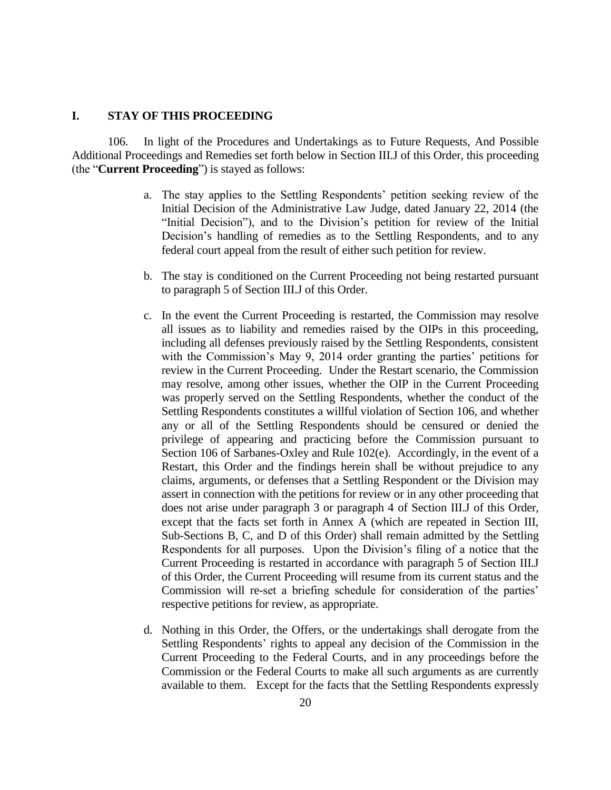#### **I. STAY OF THIS PROCEEDING**

106. In light of the Procedures and Undertakings as to Future Requests, And Possible Additional Proceedings and Remedies set forth below in Section III.J of this Order, this proceeding (the "**Current Proceeding**") is stayed as follows:

- a. The stay applies to the Settling Respondents' petition seeking review of the Initial Decision of the Administrative Law Judge, dated January 22, 2014 (the "Initial Decision"), and to the Division's petition for review of the Initial Decision's handling of remedies as to the Settling Respondents, and to any federal court appeal from the result of either such petition for review.
- b. The stay is conditioned on the Current Proceeding not being restarted pursuant to paragraph 5 of Section III.J of this Order.
- c. In the event the Current Proceeding is restarted, the Commission may resolve all issues as to liability and remedies raised by the OIPs in this proceeding, including all defenses previously raised by the Settling Respondents, consistent with the Commission's May 9, 2014 order granting the parties' petitions for review in the Current Proceeding. Under the Restart scenario, the Commission may resolve, among other issues, whether the OIP in the Current Proceeding was properly served on the Settling Respondents, whether the conduct of the Settling Respondents constitutes a willful violation of Section 106, and whether any or all of the Settling Respondents should be censured or denied the privilege of appearing and practicing before the Commission pursuant to Section 106 of Sarbanes-Oxley and Rule 102(e). Accordingly, in the event of a Restart, this Order and the findings herein shall be without prejudice to any claims, arguments, or defenses that a Settling Respondent or the Division may assert in connection with the petitions for review or in any other proceeding that does not arise under paragraph 3 or paragraph 4 of Section III.J of this Order, except that the facts set forth in Annex A (which are repeated in Section III, Sub-Sections B, C, and D of this Order) shall remain admitted by the Settling Respondents for all purposes. Upon the Division's filing of a notice that the Current Proceeding is restarted in accordance with paragraph 5 of Section III.J of this Order, the Current Proceeding will resume from its current status and the Commission will re-set a briefing schedule for consideration of the parties' respective petitions for review, as appropriate.
- d. Nothing in this Order, the Offers, or the undertakings shall derogate from the Settling Respondents' rights to appeal any decision of the Commission in the Current Proceeding to the Federal Courts, and in any proceedings before the Commission or the Federal Courts to make all such arguments as are currently available to them. Except for the facts that the Settling Respondents expressly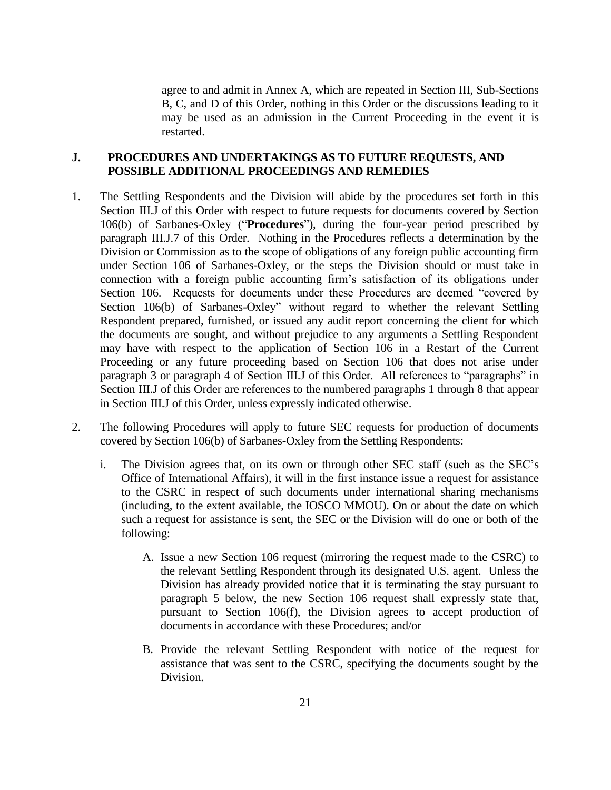agree to and admit in Annex A, which are repeated in Section III, Sub-Sections B, C, and D of this Order, nothing in this Order or the discussions leading to it may be used as an admission in the Current Proceeding in the event it is restarted.

## **J. PROCEDURES AND UNDERTAKINGS AS TO FUTURE REQUESTS, AND POSSIBLE ADDITIONAL PROCEEDINGS AND REMEDIES**

- 1. The Settling Respondents and the Division will abide by the procedures set forth in this Section III.J of this Order with respect to future requests for documents covered by Section 106(b) of Sarbanes-Oxley ("**Procedures**"), during the four-year period prescribed by paragraph III.J.7 of this Order. Nothing in the Procedures reflects a determination by the Division or Commission as to the scope of obligations of any foreign public accounting firm under Section 106 of Sarbanes-Oxley, or the steps the Division should or must take in connection with a foreign public accounting firm's satisfaction of its obligations under Section 106. Requests for documents under these Procedures are deemed "covered by Section 106(b) of Sarbanes-Oxley" without regard to whether the relevant Settling Respondent prepared, furnished, or issued any audit report concerning the client for which the documents are sought, and without prejudice to any arguments a Settling Respondent may have with respect to the application of Section 106 in a Restart of the Current Proceeding or any future proceeding based on Section 106 that does not arise under paragraph 3 or paragraph 4 of Section III.J of this Order. All references to "paragraphs" in Section III.J of this Order are references to the numbered paragraphs 1 through 8 that appear in Section III.J of this Order, unless expressly indicated otherwise.
- 2. The following Procedures will apply to future SEC requests for production of documents covered by Section 106(b) of Sarbanes-Oxley from the Settling Respondents:
	- i. The Division agrees that, on its own or through other SEC staff (such as the SEC's Office of International Affairs), it will in the first instance issue a request for assistance to the CSRC in respect of such documents under international sharing mechanisms (including, to the extent available, the IOSCO MMOU). On or about the date on which such a request for assistance is sent, the SEC or the Division will do one or both of the following:
		- A. Issue a new Section 106 request (mirroring the request made to the CSRC) to the relevant Settling Respondent through its designated U.S. agent. Unless the Division has already provided notice that it is terminating the stay pursuant to paragraph 5 below, the new Section 106 request shall expressly state that, pursuant to Section 106(f), the Division agrees to accept production of documents in accordance with these Procedures; and/or
		- B. Provide the relevant Settling Respondent with notice of the request for assistance that was sent to the CSRC, specifying the documents sought by the Division.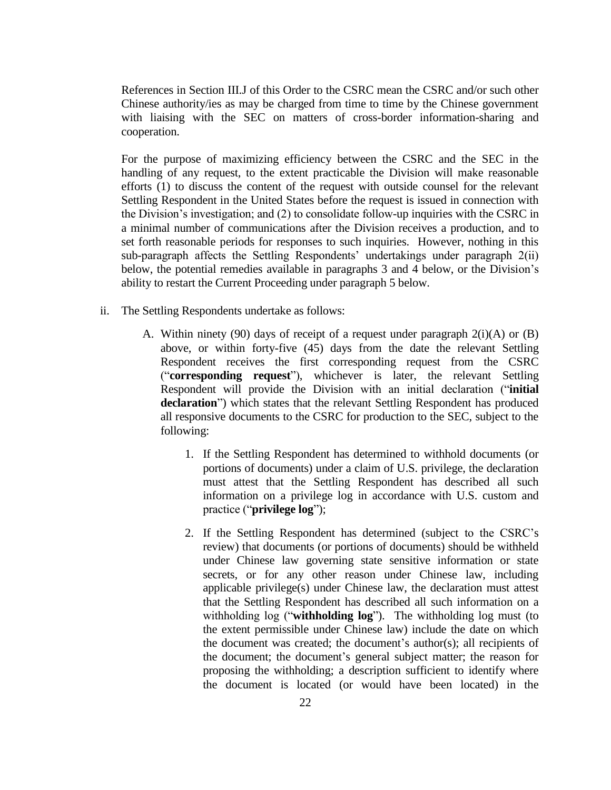References in Section III.J of this Order to the CSRC mean the CSRC and/or such other Chinese authority/ies as may be charged from time to time by the Chinese government with liaising with the SEC on matters of cross-border information-sharing and cooperation.

For the purpose of maximizing efficiency between the CSRC and the SEC in the handling of any request, to the extent practicable the Division will make reasonable efforts (1) to discuss the content of the request with outside counsel for the relevant Settling Respondent in the United States before the request is issued in connection with the Division's investigation; and (2) to consolidate follow-up inquiries with the CSRC in a minimal number of communications after the Division receives a production, and to set forth reasonable periods for responses to such inquiries. However, nothing in this sub-paragraph affects the Settling Respondents' undertakings under paragraph 2(ii) below, the potential remedies available in paragraphs 3 and 4 below, or the Division's ability to restart the Current Proceeding under paragraph 5 below.

- ii. The Settling Respondents undertake as follows:
	- A. Within ninety (90) days of receipt of a request under paragraph 2(i)(A) or (B) above, or within forty-five (45) days from the date the relevant Settling Respondent receives the first corresponding request from the CSRC ("**corresponding request**"), whichever is later, the relevant Settling Respondent will provide the Division with an initial declaration ("**initial declaration**") which states that the relevant Settling Respondent has produced all responsive documents to the CSRC for production to the SEC, subject to the following:
		- 1. If the Settling Respondent has determined to withhold documents (or portions of documents) under a claim of U.S. privilege, the declaration must attest that the Settling Respondent has described all such information on a privilege log in accordance with U.S. custom and practice ("**privilege log**");
		- 2. If the Settling Respondent has determined (subject to the CSRC's review) that documents (or portions of documents) should be withheld under Chinese law governing state sensitive information or state secrets, or for any other reason under Chinese law, including applicable privilege(s) under Chinese law, the declaration must attest that the Settling Respondent has described all such information on a withholding log ("**withholding log**"). The withholding log must (to the extent permissible under Chinese law) include the date on which the document was created; the document's author(s); all recipients of the document; the document's general subject matter; the reason for proposing the withholding; a description sufficient to identify where the document is located (or would have been located) in the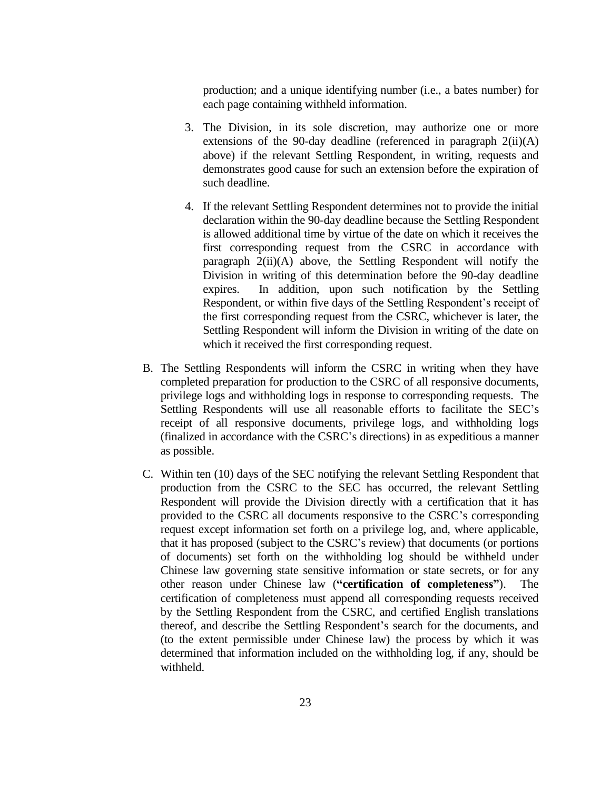production; and a unique identifying number (i.e., a bates number) for each page containing withheld information.

- 3. The Division, in its sole discretion, may authorize one or more extensions of the 90-day deadline (referenced in paragraph  $2(ii)(A)$ ) above) if the relevant Settling Respondent, in writing, requests and demonstrates good cause for such an extension before the expiration of such deadline.
- 4. If the relevant Settling Respondent determines not to provide the initial declaration within the 90-day deadline because the Settling Respondent is allowed additional time by virtue of the date on which it receives the first corresponding request from the CSRC in accordance with paragraph 2(ii)(A) above, the Settling Respondent will notify the Division in writing of this determination before the 90-day deadline expires. In addition, upon such notification by the Settling Respondent, or within five days of the Settling Respondent's receipt of the first corresponding request from the CSRC, whichever is later, the Settling Respondent will inform the Division in writing of the date on which it received the first corresponding request.
- B. The Settling Respondents will inform the CSRC in writing when they have completed preparation for production to the CSRC of all responsive documents, privilege logs and withholding logs in response to corresponding requests. The Settling Respondents will use all reasonable efforts to facilitate the SEC's receipt of all responsive documents, privilege logs, and withholding logs (finalized in accordance with the CSRC's directions) in as expeditious a manner as possible.
- C. Within ten (10) days of the SEC notifying the relevant Settling Respondent that production from the CSRC to the SEC has occurred, the relevant Settling Respondent will provide the Division directly with a certification that it has provided to the CSRC all documents responsive to the CSRC's corresponding request except information set forth on a privilege log, and, where applicable, that it has proposed (subject to the CSRC's review) that documents (or portions of documents) set forth on the withholding log should be withheld under Chinese law governing state sensitive information or state secrets, or for any other reason under Chinese law (**"certification of completeness"**). The certification of completeness must append all corresponding requests received by the Settling Respondent from the CSRC, and certified English translations thereof, and describe the Settling Respondent's search for the documents, and (to the extent permissible under Chinese law) the process by which it was determined that information included on the withholding log, if any, should be withheld.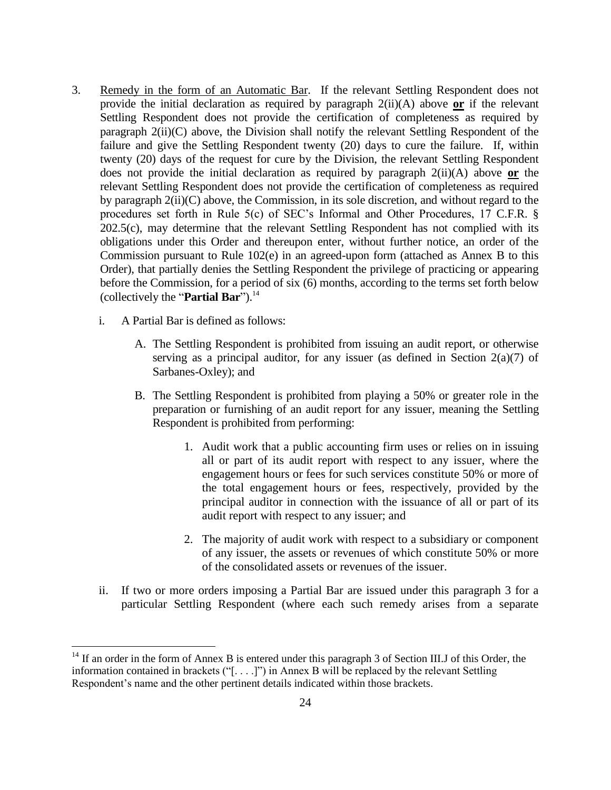- 3. Remedy in the form of an Automatic Bar. If the relevant Settling Respondent does not provide the initial declaration as required by paragraph 2(ii)(A) above **or** if the relevant Settling Respondent does not provide the certification of completeness as required by paragraph 2(ii)(C) above, the Division shall notify the relevant Settling Respondent of the failure and give the Settling Respondent twenty (20) days to cure the failure. If, within twenty (20) days of the request for cure by the Division, the relevant Settling Respondent does not provide the initial declaration as required by paragraph 2(ii)(A) above **or** the relevant Settling Respondent does not provide the certification of completeness as required by paragraph 2(ii)(C) above, the Commission, in its sole discretion, and without regard to the procedures set forth in Rule 5(c) of SEC's Informal and Other Procedures, 17 C.F.R. § 202.5(c), may determine that the relevant Settling Respondent has not complied with its obligations under this Order and thereupon enter, without further notice, an order of the Commission pursuant to Rule 102(e) in an agreed-upon form (attached as Annex B to this Order), that partially denies the Settling Respondent the privilege of practicing or appearing before the Commission, for a period of six (6) months, according to the terms set forth below (collectively the "**Partial Bar**").<sup>14</sup>
	- i. A Partial Bar is defined as follows:

 $\overline{a}$ 

- A. The Settling Respondent is prohibited from issuing an audit report, or otherwise serving as a principal auditor, for any issuer (as defined in Section  $2(a)(7)$  of Sarbanes-Oxley); and
- B. The Settling Respondent is prohibited from playing a 50% or greater role in the preparation or furnishing of an audit report for any issuer, meaning the Settling Respondent is prohibited from performing:
	- 1. Audit work that a public accounting firm uses or relies on in issuing all or part of its audit report with respect to any issuer, where the engagement hours or fees for such services constitute 50% or more of the total engagement hours or fees, respectively, provided by the principal auditor in connection with the issuance of all or part of its audit report with respect to any issuer; and
	- 2. The majority of audit work with respect to a subsidiary or component of any issuer, the assets or revenues of which constitute 50% or more of the consolidated assets or revenues of the issuer.
- ii. If two or more orders imposing a Partial Bar are issued under this paragraph 3 for a particular Settling Respondent (where each such remedy arises from a separate

 $14$  If an order in the form of Annex B is entered under this paragraph 3 of Section III.J of this Order, the information contained in brackets ("[. . . .]") in Annex B will be replaced by the relevant Settling Respondent's name and the other pertinent details indicated within those brackets.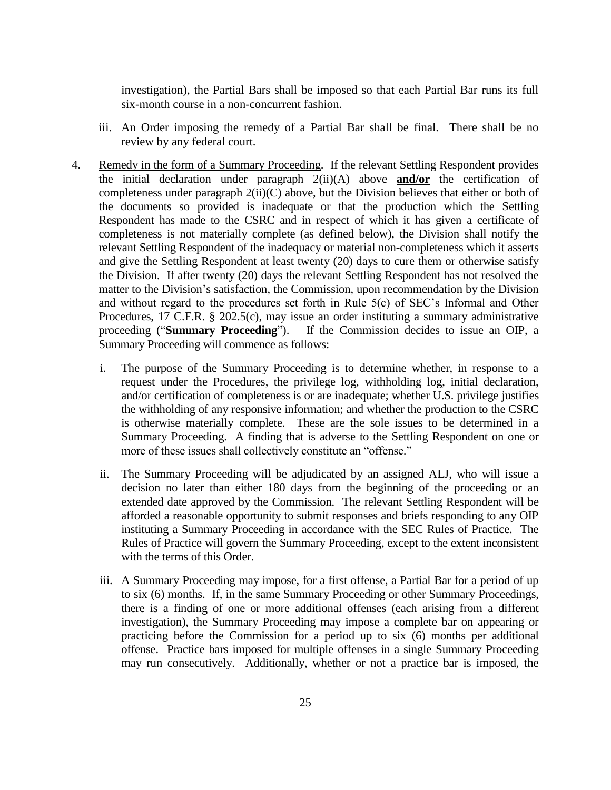investigation), the Partial Bars shall be imposed so that each Partial Bar runs its full six-month course in a non-concurrent fashion.

- iii. An Order imposing the remedy of a Partial Bar shall be final. There shall be no review by any federal court.
- 4. Remedy in the form of a Summary Proceeding. If the relevant Settling Respondent provides the initial declaration under paragraph 2(ii)(A) above **and/or** the certification of completeness under paragraph 2(ii)(C) above, but the Division believes that either or both of the documents so provided is inadequate or that the production which the Settling Respondent has made to the CSRC and in respect of which it has given a certificate of completeness is not materially complete (as defined below), the Division shall notify the relevant Settling Respondent of the inadequacy or material non-completeness which it asserts and give the Settling Respondent at least twenty (20) days to cure them or otherwise satisfy the Division. If after twenty (20) days the relevant Settling Respondent has not resolved the matter to the Division's satisfaction, the Commission, upon recommendation by the Division and without regard to the procedures set forth in Rule 5(c) of SEC's Informal and Other Procedures, 17 C.F.R. § 202.5(c), may issue an order instituting a summary administrative proceeding ("**Summary Proceeding**"). If the Commission decides to issue an OIP, a Summary Proceeding will commence as follows:
	- i. The purpose of the Summary Proceeding is to determine whether, in response to a request under the Procedures, the privilege log, withholding log, initial declaration, and/or certification of completeness is or are inadequate; whether U.S. privilege justifies the withholding of any responsive information; and whether the production to the CSRC is otherwise materially complete. These are the sole issues to be determined in a Summary Proceeding. A finding that is adverse to the Settling Respondent on one or more of these issues shall collectively constitute an "offense."
	- ii. The Summary Proceeding will be adjudicated by an assigned ALJ, who will issue a decision no later than either 180 days from the beginning of the proceeding or an extended date approved by the Commission. The relevant Settling Respondent will be afforded a reasonable opportunity to submit responses and briefs responding to any OIP instituting a Summary Proceeding in accordance with the SEC Rules of Practice. The Rules of Practice will govern the Summary Proceeding, except to the extent inconsistent with the terms of this Order.
	- iii. A Summary Proceeding may impose, for a first offense, a Partial Bar for a period of up to six (6) months. If, in the same Summary Proceeding or other Summary Proceedings, there is a finding of one or more additional offenses (each arising from a different investigation), the Summary Proceeding may impose a complete bar on appearing or practicing before the Commission for a period up to six (6) months per additional offense. Practice bars imposed for multiple offenses in a single Summary Proceeding may run consecutively. Additionally, whether or not a practice bar is imposed, the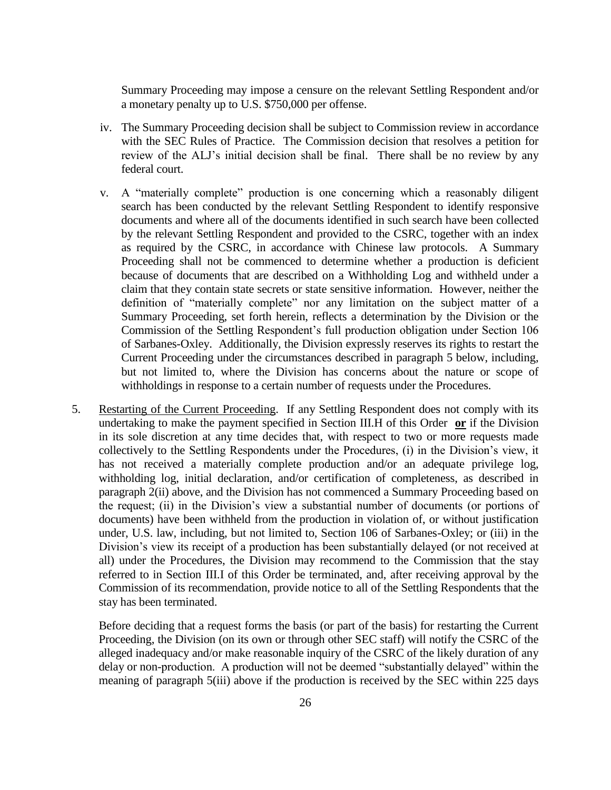Summary Proceeding may impose a censure on the relevant Settling Respondent and/or a monetary penalty up to U.S. \$750,000 per offense.

- iv. The Summary Proceeding decision shall be subject to Commission review in accordance with the SEC Rules of Practice. The Commission decision that resolves a petition for review of the ALJ's initial decision shall be final. There shall be no review by any federal court.
- v. A "materially complete" production is one concerning which a reasonably diligent search has been conducted by the relevant Settling Respondent to identify responsive documents and where all of the documents identified in such search have been collected by the relevant Settling Respondent and provided to the CSRC, together with an index as required by the CSRC, in accordance with Chinese law protocols. A Summary Proceeding shall not be commenced to determine whether a production is deficient because of documents that are described on a Withholding Log and withheld under a claim that they contain state secrets or state sensitive information. However, neither the definition of "materially complete" nor any limitation on the subject matter of a Summary Proceeding, set forth herein, reflects a determination by the Division or the Commission of the Settling Respondent's full production obligation under Section 106 of Sarbanes-Oxley. Additionally, the Division expressly reserves its rights to restart the Current Proceeding under the circumstances described in paragraph 5 below, including, but not limited to, where the Division has concerns about the nature or scope of withholdings in response to a certain number of requests under the Procedures.
- 5. Restarting of the Current Proceeding. If any Settling Respondent does not comply with its undertaking to make the payment specified in Section III.H of this Order **or** if the Division in its sole discretion at any time decides that, with respect to two or more requests made collectively to the Settling Respondents under the Procedures, (i) in the Division's view, it has not received a materially complete production and/or an adequate privilege log, withholding log, initial declaration, and/or certification of completeness, as described in paragraph 2(ii) above, and the Division has not commenced a Summary Proceeding based on the request; (ii) in the Division's view a substantial number of documents (or portions of documents) have been withheld from the production in violation of, or without justification under, U.S. law, including, but not limited to, Section 106 of Sarbanes-Oxley; or (iii) in the Division's view its receipt of a production has been substantially delayed (or not received at all) under the Procedures, the Division may recommend to the Commission that the stay referred to in Section III.I of this Order be terminated, and, after receiving approval by the Commission of its recommendation, provide notice to all of the Settling Respondents that the stay has been terminated.

Before deciding that a request forms the basis (or part of the basis) for restarting the Current Proceeding, the Division (on its own or through other SEC staff) will notify the CSRC of the alleged inadequacy and/or make reasonable inquiry of the CSRC of the likely duration of any delay or non-production. A production will not be deemed "substantially delayed" within the meaning of paragraph 5(iii) above if the production is received by the SEC within 225 days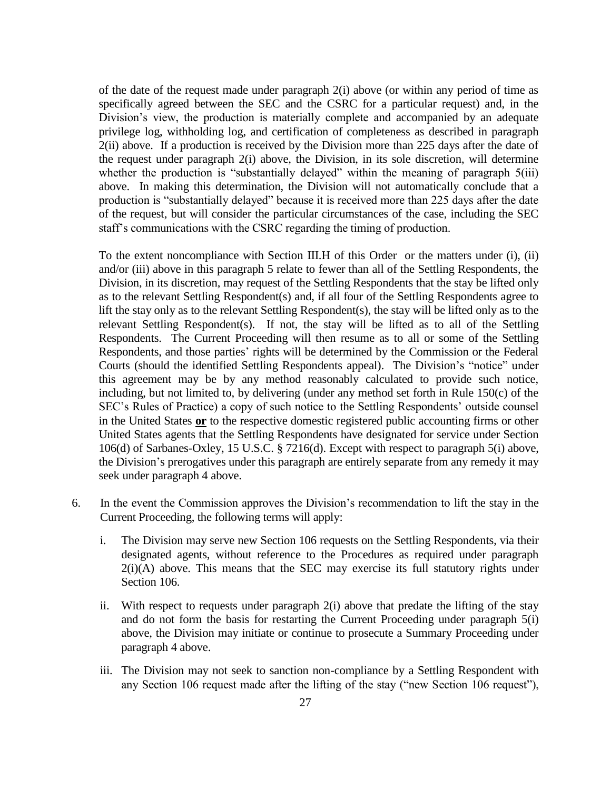of the date of the request made under paragraph 2(i) above (or within any period of time as specifically agreed between the SEC and the CSRC for a particular request) and, in the Division's view, the production is materially complete and accompanied by an adequate privilege log, withholding log, and certification of completeness as described in paragraph 2(ii) above. If a production is received by the Division more than 225 days after the date of the request under paragraph 2(i) above, the Division, in its sole discretion, will determine whether the production is "substantially delayed" within the meaning of paragraph 5(iii) above. In making this determination, the Division will not automatically conclude that a production is "substantially delayed" because it is received more than 225 days after the date of the request, but will consider the particular circumstances of the case, including the SEC staff's communications with the CSRC regarding the timing of production.

To the extent noncompliance with Section III.H of this Order or the matters under (i), (ii) and/or (iii) above in this paragraph 5 relate to fewer than all of the Settling Respondents, the Division, in its discretion, may request of the Settling Respondents that the stay be lifted only as to the relevant Settling Respondent(s) and, if all four of the Settling Respondents agree to lift the stay only as to the relevant Settling Respondent(s), the stay will be lifted only as to the relevant Settling Respondent(s). If not, the stay will be lifted as to all of the Settling Respondents. The Current Proceeding will then resume as to all or some of the Settling Respondents, and those parties' rights will be determined by the Commission or the Federal Courts (should the identified Settling Respondents appeal). The Division's "notice" under this agreement may be by any method reasonably calculated to provide such notice, including, but not limited to, by delivering (under any method set forth in Rule 150(c) of the SEC's Rules of Practice) a copy of such notice to the Settling Respondents' outside counsel in the United States **or** to the respective domestic registered public accounting firms or other United States agents that the Settling Respondents have designated for service under Section 106(d) of Sarbanes-Oxley, 15 U.S.C. § 7216(d). Except with respect to paragraph 5(i) above, the Division's prerogatives under this paragraph are entirely separate from any remedy it may seek under paragraph 4 above.

- 6. In the event the Commission approves the Division's recommendation to lift the stay in the Current Proceeding, the following terms will apply:
	- i. The Division may serve new Section 106 requests on the Settling Respondents, via their designated agents, without reference to the Procedures as required under paragraph  $2(i)(A)$  above. This means that the SEC may exercise its full statutory rights under Section 106.
	- ii. With respect to requests under paragraph 2(i) above that predate the lifting of the stay and do not form the basis for restarting the Current Proceeding under paragraph 5(i) above, the Division may initiate or continue to prosecute a Summary Proceeding under paragraph 4 above.
	- iii. The Division may not seek to sanction non-compliance by a Settling Respondent with any Section 106 request made after the lifting of the stay ("new Section 106 request"),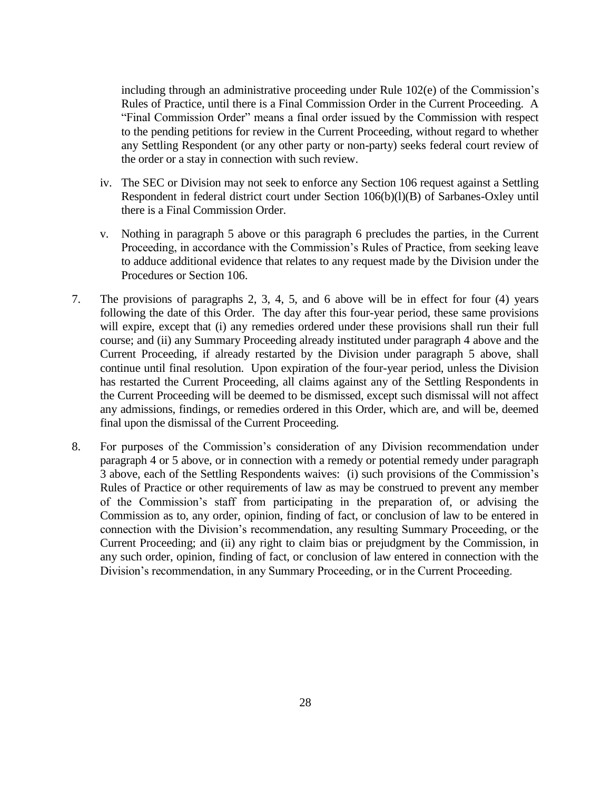including through an administrative proceeding under Rule 102(e) of the Commission's Rules of Practice, until there is a Final Commission Order in the Current Proceeding. A "Final Commission Order" means a final order issued by the Commission with respect to the pending petitions for review in the Current Proceeding, without regard to whether any Settling Respondent (or any other party or non-party) seeks federal court review of the order or a stay in connection with such review.

- iv. The SEC or Division may not seek to enforce any Section 106 request against a Settling Respondent in federal district court under Section 106(b)(l)(B) of Sarbanes-Oxley until there is a Final Commission Order.
- v. Nothing in paragraph 5 above or this paragraph 6 precludes the parties, in the Current Proceeding, in accordance with the Commission's Rules of Practice, from seeking leave to adduce additional evidence that relates to any request made by the Division under the Procedures or Section 106.
- 7. The provisions of paragraphs 2, 3, 4, 5, and 6 above will be in effect for four (4) years following the date of this Order. The day after this four-year period, these same provisions will expire, except that (i) any remedies ordered under these provisions shall run their full course; and (ii) any Summary Proceeding already instituted under paragraph 4 above and the Current Proceeding, if already restarted by the Division under paragraph 5 above, shall continue until final resolution. Upon expiration of the four-year period, unless the Division has restarted the Current Proceeding, all claims against any of the Settling Respondents in the Current Proceeding will be deemed to be dismissed, except such dismissal will not affect any admissions, findings, or remedies ordered in this Order, which are, and will be, deemed final upon the dismissal of the Current Proceeding.
- 8. For purposes of the Commission's consideration of any Division recommendation under paragraph 4 or 5 above, or in connection with a remedy or potential remedy under paragraph 3 above, each of the Settling Respondents waives: (i) such provisions of the Commission's Rules of Practice or other requirements of law as may be construed to prevent any member of the Commission's staff from participating in the preparation of, or advising the Commission as to, any order, opinion, finding of fact, or conclusion of law to be entered in connection with the Division's recommendation, any resulting Summary Proceeding, or the Current Proceeding; and (ii) any right to claim bias or prejudgment by the Commission, in any such order, opinion, finding of fact, or conclusion of law entered in connection with the Division's recommendation, in any Summary Proceeding, or in the Current Proceeding.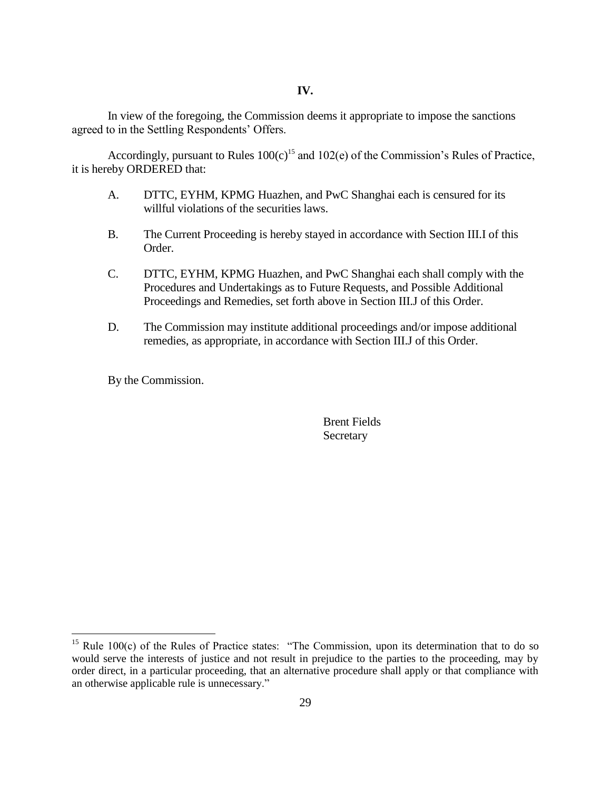#### **IV.**

In view of the foregoing, the Commission deems it appropriate to impose the sanctions agreed to in the Settling Respondents' Offers.

Accordingly, pursuant to Rules  $100(c)^{15}$  and  $102(e)$  of the Commission's Rules of Practice, it is hereby ORDERED that:

- A. DTTC, EYHM, KPMG Huazhen, and PwC Shanghai each is censured for its willful violations of the securities laws.
- B. The Current Proceeding is hereby stayed in accordance with Section III.I of this Order.
- C. DTTC, EYHM, KPMG Huazhen, and PwC Shanghai each shall comply with the Procedures and Undertakings as to Future Requests, and Possible Additional Proceedings and Remedies, set forth above in Section III.J of this Order.
- D. The Commission may institute additional proceedings and/or impose additional remedies, as appropriate, in accordance with Section III.J of this Order.

By the Commission.

 $\overline{a}$ 

Brent Fields **Secretary** 

<sup>&</sup>lt;sup>15</sup> Rule 100 $(c)$  of the Rules of Practice states: "The Commission, upon its determination that to do so would serve the interests of justice and not result in prejudice to the parties to the proceeding, may by order direct, in a particular proceeding, that an alternative procedure shall apply or that compliance with an otherwise applicable rule is unnecessary."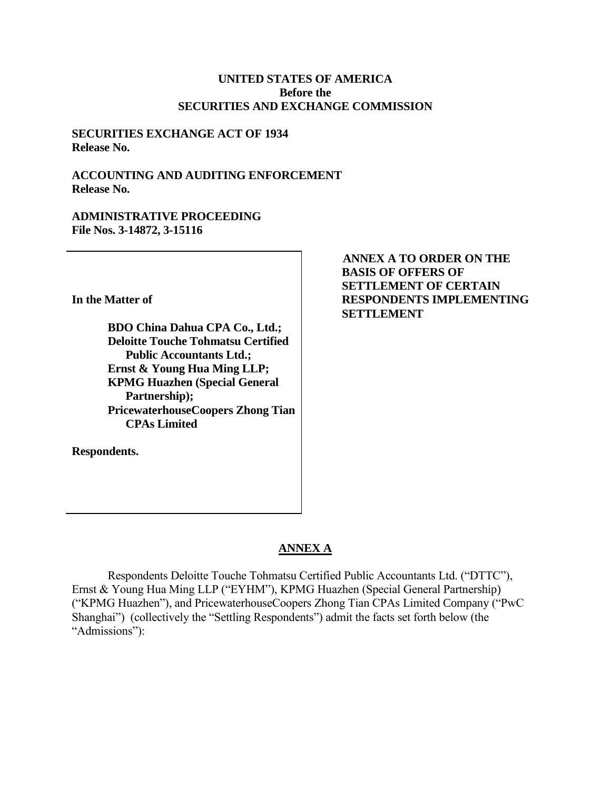## **UNITED STATES OF AMERICA Before the SECURITIES AND EXCHANGE COMMISSION**

## **SECURITIES EXCHANGE ACT OF 1934 Release No.**

## **ACCOUNTING AND AUDITING ENFORCEMENT Release No.**

## **ADMINISTRATIVE PROCEEDING File Nos. 3-14872, 3-15116**

**In the Matter of**

**BDO China Dahua CPA Co., Ltd.; Deloitte Touche Tohmatsu Certified Public Accountants Ltd.; Ernst & Young Hua Ming LLP; KPMG Huazhen (Special General Partnership); PricewaterhouseCoopers Zhong Tian CPAs Limited** 

**Respondents.**

**ANNEX A TO ORDER ON THE BASIS OF OFFERS OF SETTLEMENT OF CERTAIN RESPONDENTS IMPLEMENTING SETTLEMENT**

# **ANNEX A**

Respondents Deloitte Touche Tohmatsu Certified Public Accountants Ltd. ("DTTC"), Ernst & Young Hua Ming LLP ("EYHM"), KPMG Huazhen (Special General Partnership) ("KPMG Huazhen"), and PricewaterhouseCoopers Zhong Tian CPAs Limited Company ("PwC Shanghai") (collectively the "Settling Respondents") admit the facts set forth below (the "Admissions"):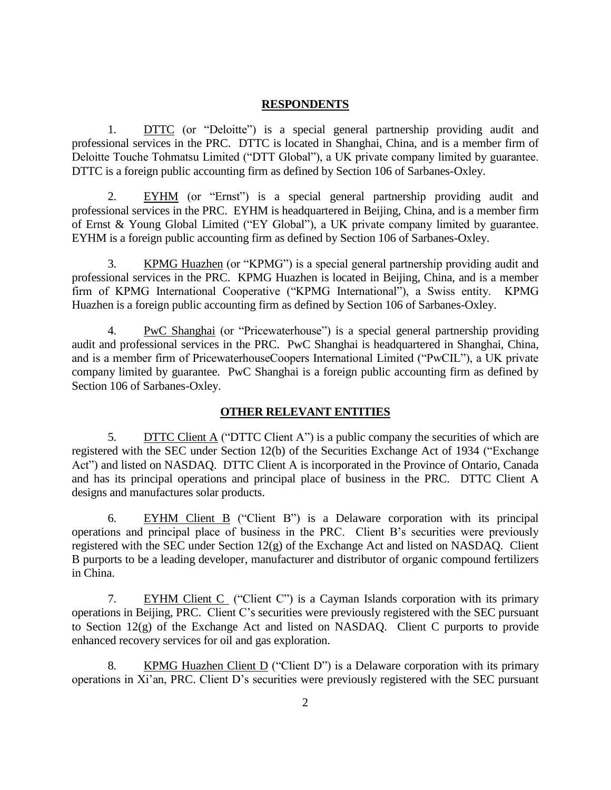#### **RESPONDENTS**

1. DTTC (or "Deloitte") is a special general partnership providing audit and professional services in the PRC. DTTC is located in Shanghai, China, and is a member firm of Deloitte Touche Tohmatsu Limited ("DTT Global"), a UK private company limited by guarantee. DTTC is a foreign public accounting firm as defined by Section 106 of Sarbanes-Oxley.

2. EYHM (or "Ernst") is a special general partnership providing audit and professional services in the PRC. EYHM is headquartered in Beijing, China, and is a member firm of Ernst & Young Global Limited ("EY Global"), a UK private company limited by guarantee. EYHM is a foreign public accounting firm as defined by Section 106 of Sarbanes-Oxley.

3. KPMG Huazhen (or "KPMG") is a special general partnership providing audit and professional services in the PRC. KPMG Huazhen is located in Beijing, China, and is a member firm of KPMG International Cooperative ("KPMG International"), a Swiss entity. KPMG Huazhen is a foreign public accounting firm as defined by Section 106 of Sarbanes-Oxley.

4. PwC Shanghai (or "Pricewaterhouse") is a special general partnership providing audit and professional services in the PRC. PwC Shanghai is headquartered in Shanghai, China, and is a member firm of PricewaterhouseCoopers International Limited ("PwCIL"), a UK private company limited by guarantee. PwC Shanghai is a foreign public accounting firm as defined by Section 106 of Sarbanes-Oxley.

## **OTHER RELEVANT ENTITIES**

5. DITC Client A ("DITC Client A") is a public company the securities of which are registered with the SEC under Section 12(b) of the Securities Exchange Act of 1934 ("Exchange Act") and listed on NASDAQ. DTTC Client A is incorporated in the Province of Ontario, Canada and has its principal operations and principal place of business in the PRC. DTTC Client A designs and manufactures solar products.

6. EYHM Client B ("Client B") is a Delaware corporation with its principal operations and principal place of business in the PRC. Client B's securities were previously registered with the SEC under Section 12(g) of the Exchange Act and listed on NASDAQ. Client B purports to be a leading developer, manufacturer and distributor of organic compound fertilizers in China.

7. EYHM Client C ("Client C") is a Cayman Islands corporation with its primary operations in Beijing, PRC. Client C's securities were previously registered with the SEC pursuant to Section 12(g) of the Exchange Act and listed on NASDAQ. Client C purports to provide enhanced recovery services for oil and gas exploration.

8. KPMG Huazhen Client D ("Client D") is a Delaware corporation with its primary operations in Xi'an, PRC. Client D's securities were previously registered with the SEC pursuant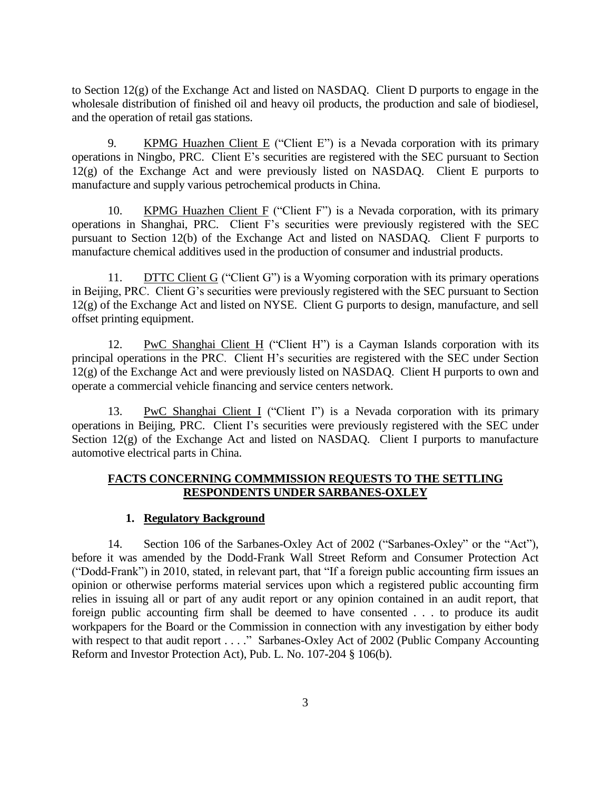to Section  $12(g)$  of the Exchange Act and listed on NASDAQ. Client D purports to engage in the wholesale distribution of finished oil and heavy oil products, the production and sale of biodiesel, and the operation of retail gas stations.

9. KPMG Huazhen Client E ("Client E") is a Nevada corporation with its primary operations in Ningbo, PRC. Client E's securities are registered with the SEC pursuant to Section  $12(g)$  of the Exchange Act and were previously listed on NASDAO. Client E purports to manufacture and supply various petrochemical products in China.

10. KPMG Huazhen Client F ("Client F") is a Nevada corporation, with its primary operations in Shanghai, PRC. Client F's securities were previously registered with the SEC pursuant to Section 12(b) of the Exchange Act and listed on NASDAQ. Client F purports to manufacture chemical additives used in the production of consumer and industrial products.

11. DTTC Client G ("Client G") is a Wyoming corporation with its primary operations in Beijing, PRC. Client G's securities were previously registered with the SEC pursuant to Section 12(g) of the Exchange Act and listed on NYSE. Client G purports to design, manufacture, and sell offset printing equipment.

12. PwC Shanghai Client H ("Client H") is a Cayman Islands corporation with its principal operations in the PRC. Client H's securities are registered with the SEC under Section 12(g) of the Exchange Act and were previously listed on NASDAQ. Client H purports to own and operate a commercial vehicle financing and service centers network.

13. PwC Shanghai Client I ("Client I") is a Nevada corporation with its primary operations in Beijing, PRC. Client I's securities were previously registered with the SEC under Section 12(g) of the Exchange Act and listed on NASDAQ. Client I purports to manufacture automotive electrical parts in China.

## **FACTS CONCERNING COMMMISSION REQUESTS TO THE SETTLING RESPONDENTS UNDER SARBANES-OXLEY**

# **1. Regulatory Background**

14. Section 106 of the Sarbanes-Oxley Act of 2002 ("Sarbanes-Oxley" or the "Act"), before it was amended by the Dodd-Frank Wall Street Reform and Consumer Protection Act ("Dodd-Frank") in 2010, stated, in relevant part, that "If a foreign public accounting firm issues an opinion or otherwise performs material services upon which a registered public accounting firm relies in issuing all or part of any audit report or any opinion contained in an audit report, that foreign public accounting firm shall be deemed to have consented . . . to produce its audit workpapers for the Board or the Commission in connection with any investigation by either body with respect to that audit report . . . ." Sarbanes-Oxley Act of 2002 (Public Company Accounting Reform and Investor Protection Act), Pub. L. No. 107-204 § 106(b).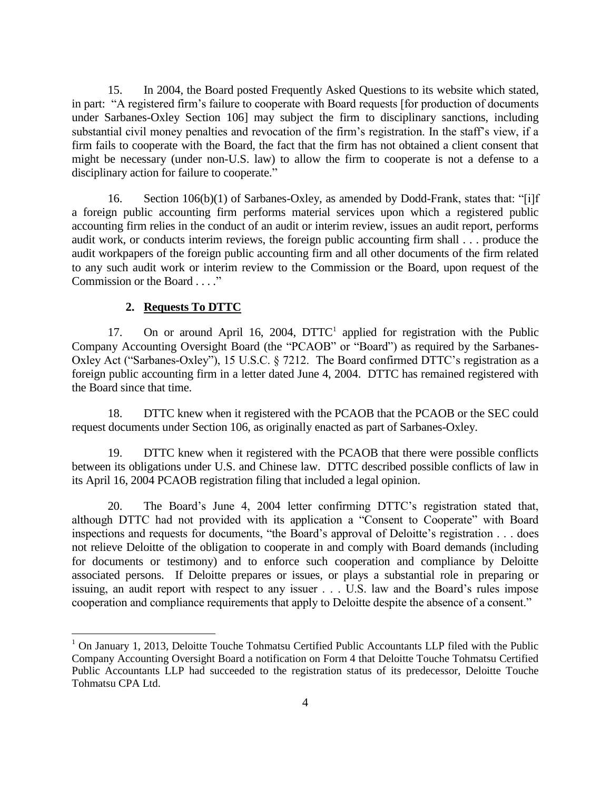15. In 2004, the Board posted Frequently Asked Questions to its website which stated, in part: "A registered firm's failure to cooperate with Board requests [for production of documents under Sarbanes-Oxley Section 106] may subject the firm to disciplinary sanctions, including substantial civil money penalties and revocation of the firm's registration. In the staff's view, if a firm fails to cooperate with the Board, the fact that the firm has not obtained a client consent that might be necessary (under non-U.S. law) to allow the firm to cooperate is not a defense to a disciplinary action for failure to cooperate."

16. Section 106(b)(1) of Sarbanes-Oxley, as amended by Dodd-Frank, states that: "[i]f a foreign public accounting firm performs material services upon which a registered public accounting firm relies in the conduct of an audit or interim review, issues an audit report, performs audit work, or conducts interim reviews, the foreign public accounting firm shall . . . produce the audit workpapers of the foreign public accounting firm and all other documents of the firm related to any such audit work or interim review to the Commission or the Board, upon request of the Commission or the Board . . . ."

#### **2. Requests To DTTC**

 $\overline{a}$ 

17. On or around April 16, 2004, DTTC<sup>1</sup> applied for registration with the Public Company Accounting Oversight Board (the "PCAOB" or "Board") as required by the Sarbanes-Oxley Act ("Sarbanes-Oxley"), 15 U.S.C. § 7212. The Board confirmed DTTC's registration as a foreign public accounting firm in a letter dated June 4, 2004. DTTC has remained registered with the Board since that time.

18. DTTC knew when it registered with the PCAOB that the PCAOB or the SEC could request documents under Section 106, as originally enacted as part of Sarbanes-Oxley.

19. DTTC knew when it registered with the PCAOB that there were possible conflicts between its obligations under U.S. and Chinese law. DTTC described possible conflicts of law in its April 16, 2004 PCAOB registration filing that included a legal opinion.

20. The Board's June 4, 2004 letter confirming DTTC's registration stated that, although DTTC had not provided with its application a "Consent to Cooperate" with Board inspections and requests for documents, "the Board's approval of Deloitte's registration . . . does not relieve Deloitte of the obligation to cooperate in and comply with Board demands (including for documents or testimony) and to enforce such cooperation and compliance by Deloitte associated persons. If Deloitte prepares or issues, or plays a substantial role in preparing or issuing, an audit report with respect to any issuer . . . U.S. law and the Board's rules impose cooperation and compliance requirements that apply to Deloitte despite the absence of a consent."

<sup>&</sup>lt;sup>1</sup> On January 1, 2013, Deloitte Touche Tohmatsu Certified Public Accountants LLP filed with the Public Company Accounting Oversight Board a notification on Form 4 that Deloitte Touche Tohmatsu Certified Public Accountants LLP had succeeded to the registration status of its predecessor, Deloitte Touche Tohmatsu CPA Ltd.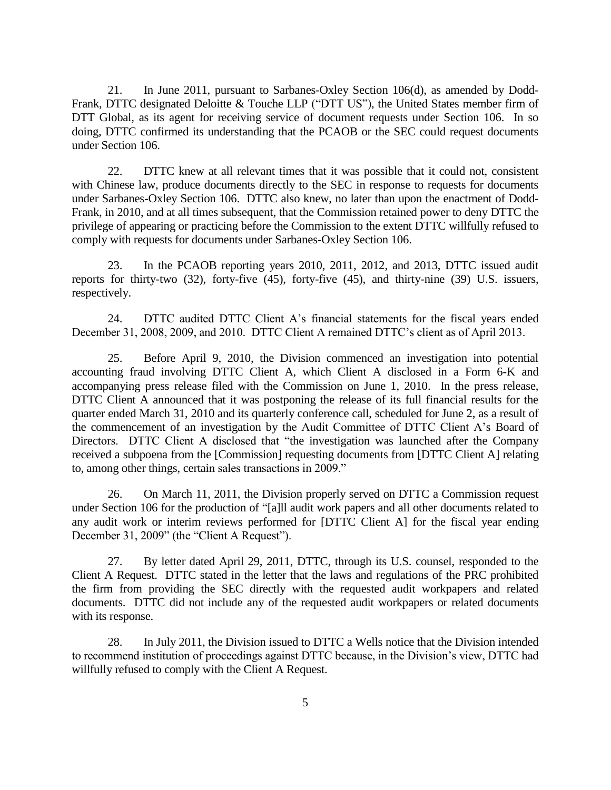21. In June 2011, pursuant to Sarbanes-Oxley Section 106(d), as amended by Dodd-Frank, DTTC designated Deloitte & Touche LLP ("DTT US"), the United States member firm of DTT Global, as its agent for receiving service of document requests under Section 106. In so doing, DTTC confirmed its understanding that the PCAOB or the SEC could request documents under Section 106.

22. DTTC knew at all relevant times that it was possible that it could not, consistent with Chinese law, produce documents directly to the SEC in response to requests for documents under Sarbanes-Oxley Section 106. DTTC also knew, no later than upon the enactment of Dodd-Frank, in 2010, and at all times subsequent, that the Commission retained power to deny DTTC the privilege of appearing or practicing before the Commission to the extent DTTC willfully refused to comply with requests for documents under Sarbanes-Oxley Section 106.

23. In the PCAOB reporting years 2010, 2011, 2012, and 2013, DTTC issued audit reports for thirty-two (32), forty-five (45), forty-five (45), and thirty-nine (39) U.S. issuers, respectively.

24. DTTC audited DTTC Client A's financial statements for the fiscal years ended December 31, 2008, 2009, and 2010. DTTC Client A remained DTTC's client as of April 2013.

25. Before April 9, 2010, the Division commenced an investigation into potential accounting fraud involving DTTC Client A, which Client A disclosed in a Form 6-K and accompanying press release filed with the Commission on June 1, 2010. In the press release, DTTC Client A announced that it was postponing the release of its full financial results for the quarter ended March 31, 2010 and its quarterly conference call, scheduled for June 2, as a result of the commencement of an investigation by the Audit Committee of DTTC Client A's Board of Directors. DTTC Client A disclosed that "the investigation was launched after the Company received a subpoena from the [Commission] requesting documents from [DTTC Client A] relating to, among other things, certain sales transactions in 2009."

26. On March 11, 2011, the Division properly served on DTTC a Commission request under Section 106 for the production of "[a]ll audit work papers and all other documents related to any audit work or interim reviews performed for [DTTC Client A] for the fiscal year ending December 31, 2009" (the "Client A Request").

27. By letter dated April 29, 2011, DTTC, through its U.S. counsel, responded to the Client A Request. DTTC stated in the letter that the laws and regulations of the PRC prohibited the firm from providing the SEC directly with the requested audit workpapers and related documents. DTTC did not include any of the requested audit workpapers or related documents with its response.

28. In July 2011, the Division issued to DTTC a Wells notice that the Division intended to recommend institution of proceedings against DTTC because, in the Division's view, DTTC had willfully refused to comply with the Client A Request.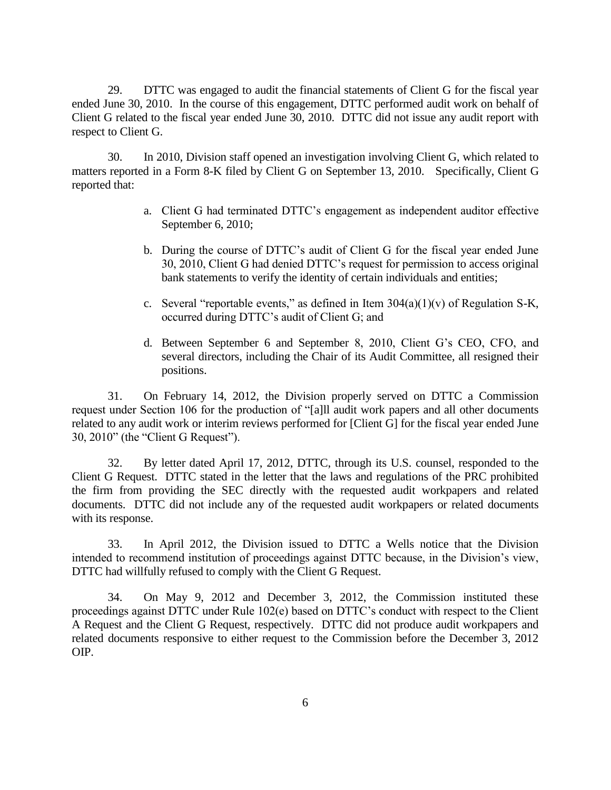29. DTTC was engaged to audit the financial statements of Client G for the fiscal year ended June 30, 2010. In the course of this engagement, DTTC performed audit work on behalf of Client G related to the fiscal year ended June 30, 2010. DTTC did not issue any audit report with respect to Client G.

30. In 2010, Division staff opened an investigation involving Client G, which related to matters reported in a Form 8-K filed by Client G on September 13, 2010. Specifically, Client G reported that:

- a. Client G had terminated DTTC's engagement as independent auditor effective September 6, 2010;
- b. During the course of DTTC's audit of Client G for the fiscal year ended June 30, 2010, Client G had denied DTTC's request for permission to access original bank statements to verify the identity of certain individuals and entities;
- c. Several "reportable events," as defined in Item  $304(a)(1)(v)$  of Regulation S-K, occurred during DTTC's audit of Client G; and
- d. Between September 6 and September 8, 2010, Client G's CEO, CFO, and several directors, including the Chair of its Audit Committee, all resigned their positions.

31. On February 14, 2012, the Division properly served on DTTC a Commission request under Section 106 for the production of "[a]ll audit work papers and all other documents related to any audit work or interim reviews performed for [Client G] for the fiscal year ended June 30, 2010" (the "Client G Request").

32. By letter dated April 17, 2012, DTTC, through its U.S. counsel, responded to the Client G Request. DTTC stated in the letter that the laws and regulations of the PRC prohibited the firm from providing the SEC directly with the requested audit workpapers and related documents. DTTC did not include any of the requested audit workpapers or related documents with its response.

33. In April 2012, the Division issued to DTTC a Wells notice that the Division intended to recommend institution of proceedings against DTTC because, in the Division's view, DTTC had willfully refused to comply with the Client G Request.

34. On May 9, 2012 and December 3, 2012, the Commission instituted these proceedings against DTTC under Rule 102(e) based on DTTC's conduct with respect to the Client A Request and the Client G Request, respectively. DTTC did not produce audit workpapers and related documents responsive to either request to the Commission before the December 3, 2012 OIP.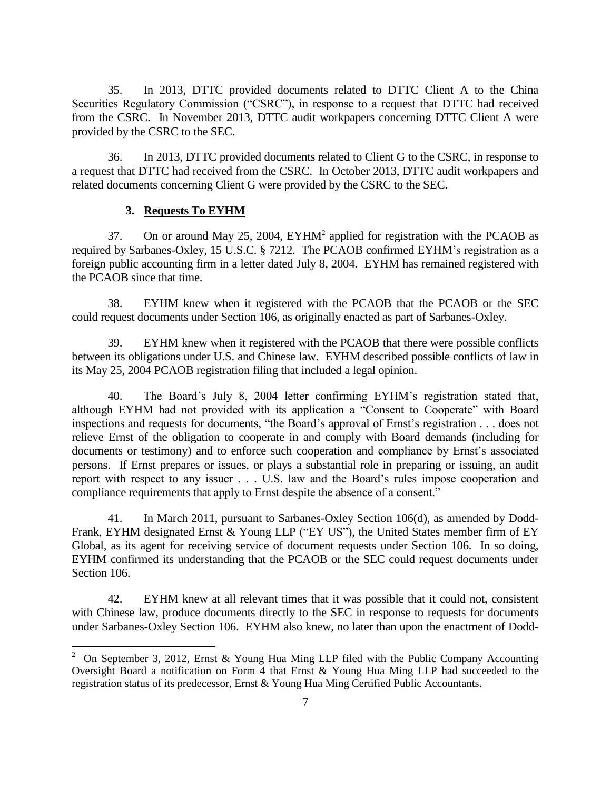35. In 2013, DTTC provided documents related to DTTC Client A to the China Securities Regulatory Commission ("CSRC"), in response to a request that DTTC had received from the CSRC. In November 2013, DTTC audit workpapers concerning DTTC Client A were provided by the CSRC to the SEC.

36. In 2013, DTTC provided documents related to Client G to the CSRC, in response to a request that DTTC had received from the CSRC. In October 2013, DTTC audit workpapers and related documents concerning Client G were provided by the CSRC to the SEC.

#### **3. Requests To EYHM**

 $\overline{a}$ 

37. On or around May 25, 2004, EYHM<sup>2</sup> applied for registration with the PCAOB as required by Sarbanes-Oxley, 15 U.S.C. § 7212. The PCAOB confirmed EYHM's registration as a foreign public accounting firm in a letter dated July 8, 2004. EYHM has remained registered with the PCAOB since that time.

38. EYHM knew when it registered with the PCAOB that the PCAOB or the SEC could request documents under Section 106, as originally enacted as part of Sarbanes-Oxley.

39. EYHM knew when it registered with the PCAOB that there were possible conflicts between its obligations under U.S. and Chinese law. EYHM described possible conflicts of law in its May 25, 2004 PCAOB registration filing that included a legal opinion.

40. The Board's July 8, 2004 letter confirming EYHM's registration stated that, although EYHM had not provided with its application a "Consent to Cooperate" with Board inspections and requests for documents, "the Board's approval of Ernst's registration . . . does not relieve Ernst of the obligation to cooperate in and comply with Board demands (including for documents or testimony) and to enforce such cooperation and compliance by Ernst's associated persons. If Ernst prepares or issues, or plays a substantial role in preparing or issuing, an audit report with respect to any issuer . . . U.S. law and the Board's rules impose cooperation and compliance requirements that apply to Ernst despite the absence of a consent."

41. In March 2011, pursuant to Sarbanes-Oxley Section 106(d), as amended by Dodd-Frank, EYHM designated Ernst & Young LLP ("EY US"), the United States member firm of EY Global, as its agent for receiving service of document requests under Section 106. In so doing, EYHM confirmed its understanding that the PCAOB or the SEC could request documents under Section 106.

42. EYHM knew at all relevant times that it was possible that it could not, consistent with Chinese law, produce documents directly to the SEC in response to requests for documents under Sarbanes-Oxley Section 106. EYHM also knew, no later than upon the enactment of Dodd-

<sup>&</sup>lt;sup>2</sup> On September 3, 2012, Ernst & Young Hua Ming LLP filed with the Public Company Accounting Oversight Board a notification on Form 4 that Ernst & Young Hua Ming LLP had succeeded to the registration status of its predecessor, Ernst & Young Hua Ming Certified Public Accountants.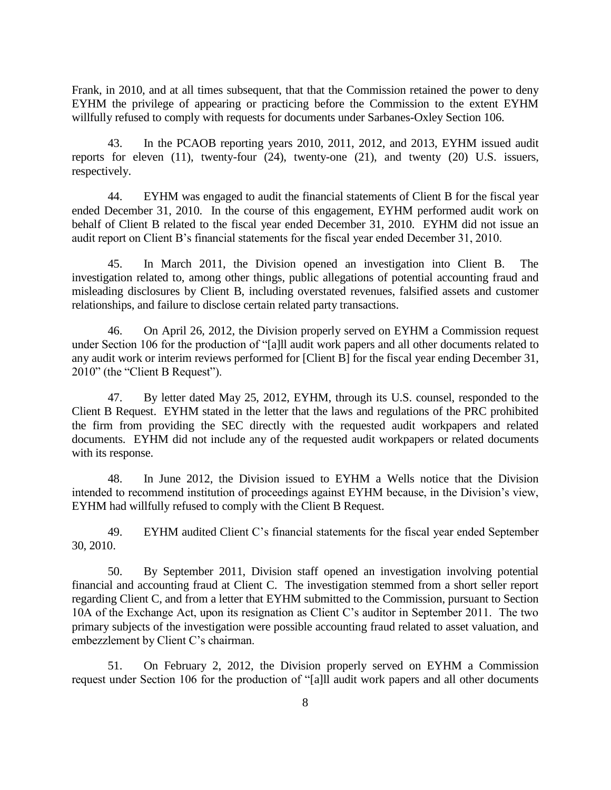Frank, in 2010, and at all times subsequent, that that the Commission retained the power to deny EYHM the privilege of appearing or practicing before the Commission to the extent EYHM willfully refused to comply with requests for documents under Sarbanes-Oxley Section 106.

43. In the PCAOB reporting years 2010, 2011, 2012, and 2013, EYHM issued audit reports for eleven (11), twenty-four (24), twenty-one (21), and twenty (20) U.S. issuers, respectively.

44. EYHM was engaged to audit the financial statements of Client B for the fiscal year ended December 31, 2010. In the course of this engagement, EYHM performed audit work on behalf of Client B related to the fiscal year ended December 31, 2010. EYHM did not issue an audit report on Client B's financial statements for the fiscal year ended December 31, 2010.

45. In March 2011, the Division opened an investigation into Client B. The investigation related to, among other things, public allegations of potential accounting fraud and misleading disclosures by Client B, including overstated revenues, falsified assets and customer relationships, and failure to disclose certain related party transactions.

46. On April 26, 2012, the Division properly served on EYHM a Commission request under Section 106 for the production of "[a]ll audit work papers and all other documents related to any audit work or interim reviews performed for [Client B] for the fiscal year ending December 31, 2010" (the "Client B Request").

47. By letter dated May 25, 2012, EYHM, through its U.S. counsel, responded to the Client B Request. EYHM stated in the letter that the laws and regulations of the PRC prohibited the firm from providing the SEC directly with the requested audit workpapers and related documents. EYHM did not include any of the requested audit workpapers or related documents with its response.

48. In June 2012, the Division issued to EYHM a Wells notice that the Division intended to recommend institution of proceedings against EYHM because, in the Division's view, EYHM had willfully refused to comply with the Client B Request.

49. EYHM audited Client C's financial statements for the fiscal year ended September 30, 2010.

50. By September 2011, Division staff opened an investigation involving potential financial and accounting fraud at Client C. The investigation stemmed from a short seller report regarding Client C, and from a letter that EYHM submitted to the Commission, pursuant to Section 10A of the Exchange Act, upon its resignation as Client C's auditor in September 2011. The two primary subjects of the investigation were possible accounting fraud related to asset valuation, and embezzlement by Client C's chairman.

51. On February 2, 2012, the Division properly served on EYHM a Commission request under Section 106 for the production of "[a]ll audit work papers and all other documents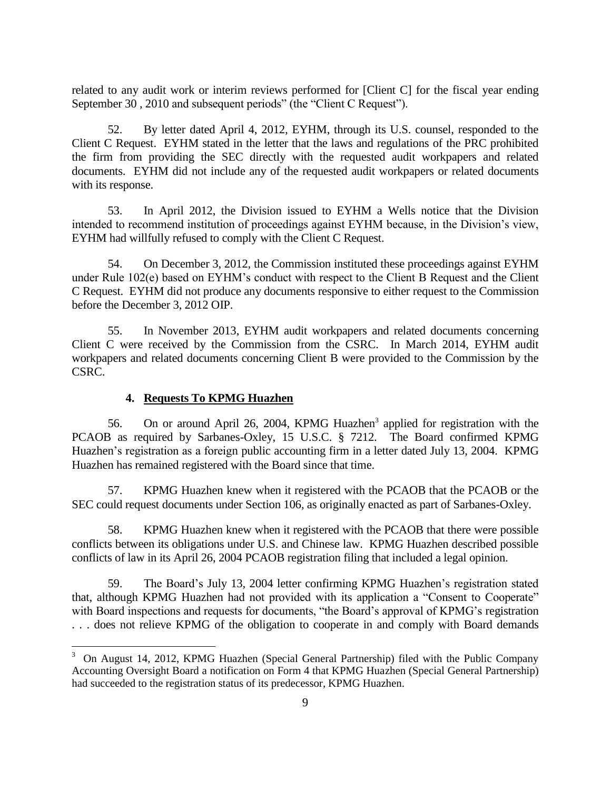related to any audit work or interim reviews performed for [Client C] for the fiscal year ending September 30 , 2010 and subsequent periods" (the "Client C Request").

52. By letter dated April 4, 2012, EYHM, through its U.S. counsel, responded to the Client C Request. EYHM stated in the letter that the laws and regulations of the PRC prohibited the firm from providing the SEC directly with the requested audit workpapers and related documents. EYHM did not include any of the requested audit workpapers or related documents with its response.

53. In April 2012, the Division issued to EYHM a Wells notice that the Division intended to recommend institution of proceedings against EYHM because, in the Division's view, EYHM had willfully refused to comply with the Client C Request.

54. On December 3, 2012, the Commission instituted these proceedings against EYHM under Rule 102(e) based on EYHM's conduct with respect to the Client B Request and the Client C Request. EYHM did not produce any documents responsive to either request to the Commission before the December 3, 2012 OIP.

55. In November 2013, EYHM audit workpapers and related documents concerning Client C were received by the Commission from the CSRC. In March 2014, EYHM audit workpapers and related documents concerning Client B were provided to the Commission by the CSRC.

## **4. Requests To KPMG Huazhen**

 $\overline{a}$ 

56. On or around April 26, 2004, KPMG Huazhen<sup>3</sup> applied for registration with the PCAOB as required by Sarbanes-Oxley, 15 U.S.C. § 7212. The Board confirmed KPMG Huazhen's registration as a foreign public accounting firm in a letter dated July 13, 2004. KPMG Huazhen has remained registered with the Board since that time.

57. KPMG Huazhen knew when it registered with the PCAOB that the PCAOB or the SEC could request documents under Section 106, as originally enacted as part of Sarbanes-Oxley.

58. KPMG Huazhen knew when it registered with the PCAOB that there were possible conflicts between its obligations under U.S. and Chinese law. KPMG Huazhen described possible conflicts of law in its April 26, 2004 PCAOB registration filing that included a legal opinion.

59. The Board's July 13, 2004 letter confirming KPMG Huazhen's registration stated that, although KPMG Huazhen had not provided with its application a "Consent to Cooperate" with Board inspections and requests for documents, "the Board's approval of KPMG's registration . . . does not relieve KPMG of the obligation to cooperate in and comply with Board demands

<sup>3</sup> On August 14, 2012, KPMG Huazhen (Special General Partnership) filed with the Public Company Accounting Oversight Board a notification on Form 4 that KPMG Huazhen (Special General Partnership) had succeeded to the registration status of its predecessor, KPMG Huazhen.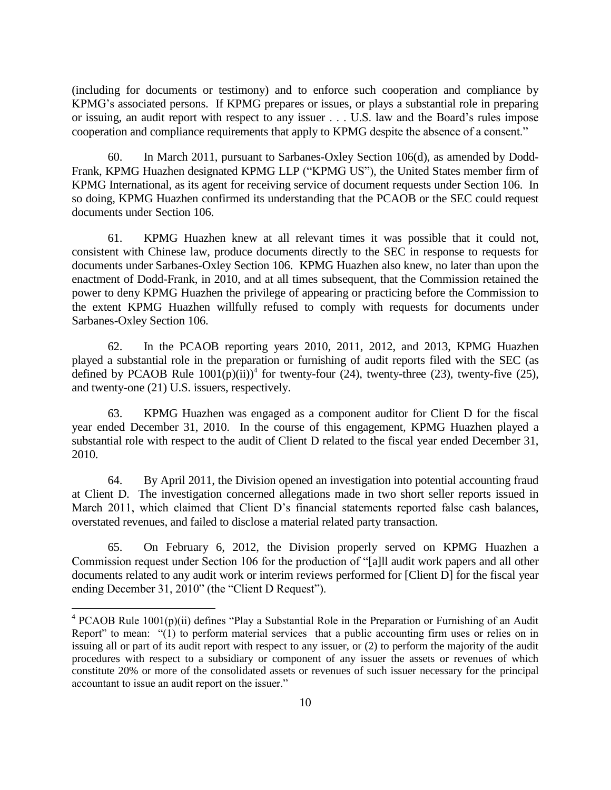(including for documents or testimony) and to enforce such cooperation and compliance by KPMG's associated persons. If KPMG prepares or issues, or plays a substantial role in preparing or issuing, an audit report with respect to any issuer . . . U.S. law and the Board's rules impose cooperation and compliance requirements that apply to KPMG despite the absence of a consent."

60. In March 2011, pursuant to Sarbanes-Oxley Section 106(d), as amended by Dodd-Frank, KPMG Huazhen designated KPMG LLP ("KPMG US"), the United States member firm of KPMG International, as its agent for receiving service of document requests under Section 106. In so doing, KPMG Huazhen confirmed its understanding that the PCAOB or the SEC could request documents under Section 106.

61. KPMG Huazhen knew at all relevant times it was possible that it could not, consistent with Chinese law, produce documents directly to the SEC in response to requests for documents under Sarbanes-Oxley Section 106. KPMG Huazhen also knew, no later than upon the enactment of Dodd-Frank, in 2010, and at all times subsequent, that the Commission retained the power to deny KPMG Huazhen the privilege of appearing or practicing before the Commission to the extent KPMG Huazhen willfully refused to comply with requests for documents under Sarbanes-Oxley Section 106.

62. In the PCAOB reporting years 2010, 2011, 2012, and 2013, KPMG Huazhen played a substantial role in the preparation or furnishing of audit reports filed with the SEC (as defined by PCAOB Rule  $1001(p)(ii)$ <sup>4</sup> for twenty-four (24), twenty-three (23), twenty-five (25), and twenty-one (21) U.S. issuers, respectively.

63. KPMG Huazhen was engaged as a component auditor for Client D for the fiscal year ended December 31, 2010. In the course of this engagement, KPMG Huazhen played a substantial role with respect to the audit of Client D related to the fiscal year ended December 31, 2010.

64. By April 2011, the Division opened an investigation into potential accounting fraud at Client D. The investigation concerned allegations made in two short seller reports issued in March 2011, which claimed that Client D's financial statements reported false cash balances, overstated revenues, and failed to disclose a material related party transaction.

65. On February 6, 2012, the Division properly served on KPMG Huazhen a Commission request under Section 106 for the production of "[a]ll audit work papers and all other documents related to any audit work or interim reviews performed for [Client D] for the fiscal year ending December 31, 2010" (the "Client D Request").

 $\overline{a}$ 

 $4$  PCAOB Rule 1001(p)(ii) defines "Play a Substantial Role in the Preparation or Furnishing of an Audit Report" to mean: "(1) to perform material services that a public accounting firm uses or relies on in issuing all or part of its audit report with respect to any issuer, or (2) to perform the majority of the audit procedures with respect to a subsidiary or component of any issuer the assets or revenues of which constitute 20% or more of the consolidated assets or revenues of such issuer necessary for the principal accountant to issue an audit report on the issuer."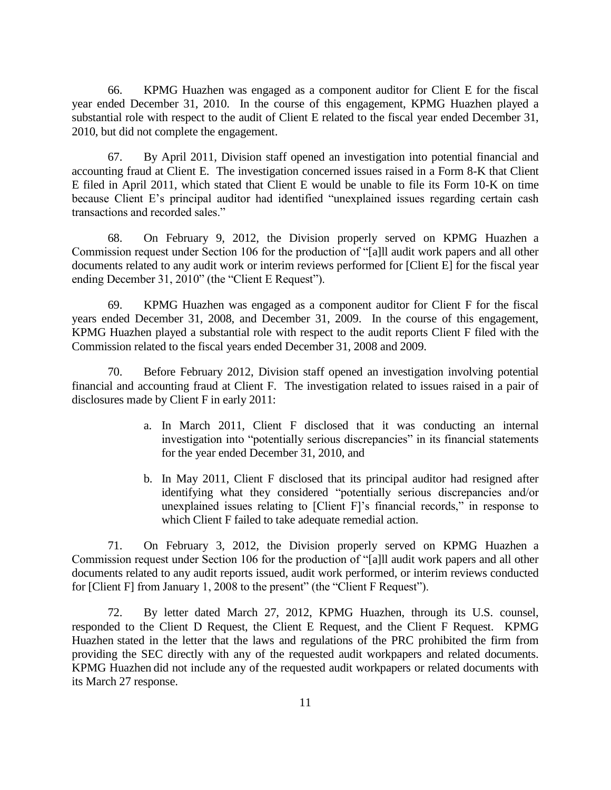66. KPMG Huazhen was engaged as a component auditor for Client E for the fiscal year ended December 31, 2010. In the course of this engagement, KPMG Huazhen played a substantial role with respect to the audit of Client E related to the fiscal year ended December 31, 2010, but did not complete the engagement.

67. By April 2011, Division staff opened an investigation into potential financial and accounting fraud at Client E. The investigation concerned issues raised in a Form 8-K that Client E filed in April 2011, which stated that Client E would be unable to file its Form 10-K on time because Client E's principal auditor had identified "unexplained issues regarding certain cash transactions and recorded sales."

68. On February 9, 2012, the Division properly served on KPMG Huazhen a Commission request under Section 106 for the production of "[a]ll audit work papers and all other documents related to any audit work or interim reviews performed for [Client E] for the fiscal year ending December 31, 2010" (the "Client E Request").

69. KPMG Huazhen was engaged as a component auditor for Client F for the fiscal years ended December 31, 2008, and December 31, 2009. In the course of this engagement, KPMG Huazhen played a substantial role with respect to the audit reports Client F filed with the Commission related to the fiscal years ended December 31, 2008 and 2009.

70. Before February 2012, Division staff opened an investigation involving potential financial and accounting fraud at Client F. The investigation related to issues raised in a pair of disclosures made by Client F in early 2011:

- a. In March 2011, Client F disclosed that it was conducting an internal investigation into "potentially serious discrepancies" in its financial statements for the year ended December 31, 2010, and
- b. In May 2011, Client F disclosed that its principal auditor had resigned after identifying what they considered "potentially serious discrepancies and/or unexplained issues relating to [Client F]'s financial records," in response to which Client F failed to take adequate remedial action.

71. On February 3, 2012, the Division properly served on KPMG Huazhen a Commission request under Section 106 for the production of "[a]ll audit work papers and all other documents related to any audit reports issued, audit work performed, or interim reviews conducted for [Client F] from January 1, 2008 to the present" (the "Client F Request").

72. By letter dated March 27, 2012, KPMG Huazhen, through its U.S. counsel, responded to the Client D Request, the Client E Request, and the Client F Request. KPMG Huazhen stated in the letter that the laws and regulations of the PRC prohibited the firm from providing the SEC directly with any of the requested audit workpapers and related documents. KPMG Huazhen did not include any of the requested audit workpapers or related documents with its March 27 response.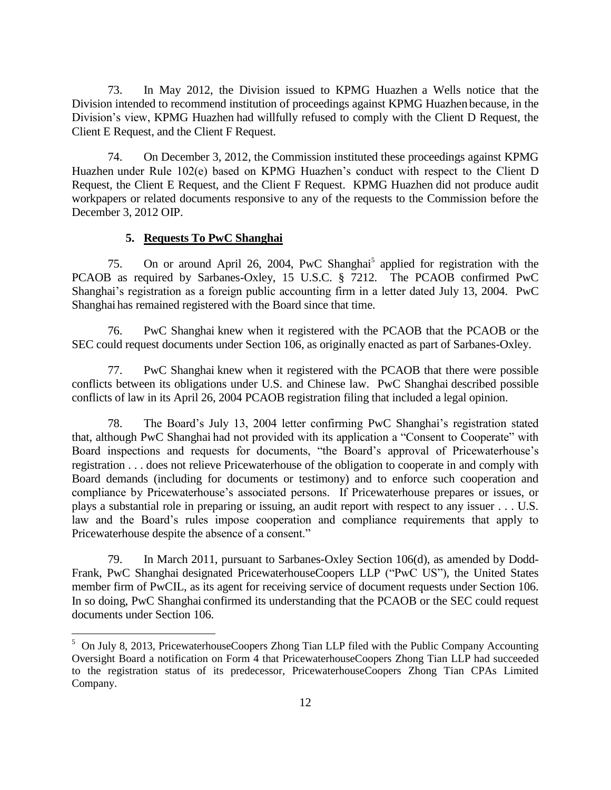73. In May 2012, the Division issued to KPMG Huazhen a Wells notice that the Division intended to recommend institution of proceedings against KPMG Huazhen because, in the Division's view, KPMG Huazhen had willfully refused to comply with the Client D Request, the Client E Request, and the Client F Request.

74. On December 3, 2012, the Commission instituted these proceedings against KPMG Huazhen under Rule 102(e) based on KPMG Huazhen's conduct with respect to the Client D Request, the Client E Request, and the Client F Request. KPMG Huazhen did not produce audit workpapers or related documents responsive to any of the requests to the Commission before the December 3, 2012 OIP.

#### **5. Requests To PwC Shanghai**

 $\overline{a}$ 

75. On or around April 26, 2004, PwC Shanghai<sup>5</sup> applied for registration with the PCAOB as required by Sarbanes-Oxley, 15 U.S.C. § 7212. The PCAOB confirmed PwC Shanghai's registration as a foreign public accounting firm in a letter dated July 13, 2004. PwC Shanghai has remained registered with the Board since that time.

76. PwC Shanghai knew when it registered with the PCAOB that the PCAOB or the SEC could request documents under Section 106, as originally enacted as part of Sarbanes-Oxley.

77. PwC Shanghai knew when it registered with the PCAOB that there were possible conflicts between its obligations under U.S. and Chinese law. PwC Shanghai described possible conflicts of law in its April 26, 2004 PCAOB registration filing that included a legal opinion.

78. The Board's July 13, 2004 letter confirming PwC Shanghai's registration stated that, although PwC Shanghai had not provided with its application a "Consent to Cooperate" with Board inspections and requests for documents, "the Board's approval of Pricewaterhouse's registration . . . does not relieve Pricewaterhouse of the obligation to cooperate in and comply with Board demands (including for documents or testimony) and to enforce such cooperation and compliance by Pricewaterhouse's associated persons. If Pricewaterhouse prepares or issues, or plays a substantial role in preparing or issuing, an audit report with respect to any issuer . . . U.S. law and the Board's rules impose cooperation and compliance requirements that apply to Pricewaterhouse despite the absence of a consent."

79. In March 2011, pursuant to Sarbanes-Oxley Section 106(d), as amended by Dodd-Frank, PwC Shanghai designated PricewaterhouseCoopers LLP ("PwC US"), the United States member firm of PwCIL, as its agent for receiving service of document requests under Section 106. In so doing, PwC Shanghai confirmed its understanding that the PCAOB or the SEC could request documents under Section 106.

<sup>&</sup>lt;sup>5</sup> On July 8, 2013, PricewaterhouseCoopers Zhong Tian LLP filed with the Public Company Accounting Oversight Board a notification on Form 4 that PricewaterhouseCoopers Zhong Tian LLP had succeeded to the registration status of its predecessor, PricewaterhouseCoopers Zhong Tian CPAs Limited Company.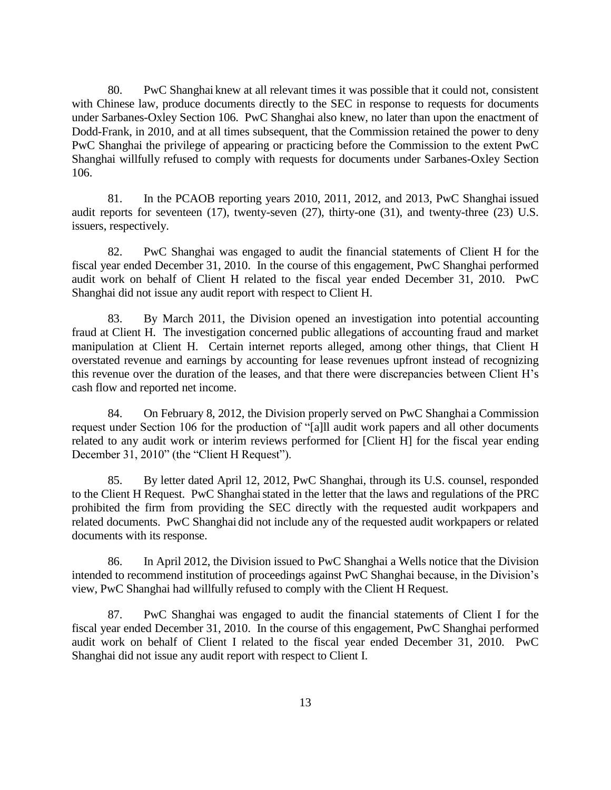80. PwC Shanghai knew at all relevant times it was possible that it could not, consistent with Chinese law, produce documents directly to the SEC in response to requests for documents under Sarbanes-Oxley Section 106. PwC Shanghai also knew, no later than upon the enactment of Dodd-Frank, in 2010, and at all times subsequent, that the Commission retained the power to deny PwC Shanghai the privilege of appearing or practicing before the Commission to the extent PwC Shanghai willfully refused to comply with requests for documents under Sarbanes-Oxley Section 106.

81. In the PCAOB reporting years 2010, 2011, 2012, and 2013, PwC Shanghai issued audit reports for seventeen (17), twenty-seven (27), thirty-one (31), and twenty-three (23) U.S. issuers, respectively.

82. PwC Shanghai was engaged to audit the financial statements of Client H for the fiscal year ended December 31, 2010. In the course of this engagement, PwC Shanghai performed audit work on behalf of Client H related to the fiscal year ended December 31, 2010. PwC Shanghai did not issue any audit report with respect to Client H.

83. By March 2011, the Division opened an investigation into potential accounting fraud at Client H. The investigation concerned public allegations of accounting fraud and market manipulation at Client H. Certain internet reports alleged, among other things, that Client H overstated revenue and earnings by accounting for lease revenues upfront instead of recognizing this revenue over the duration of the leases, and that there were discrepancies between Client H's cash flow and reported net income.

84. On February 8, 2012, the Division properly served on PwC Shanghai a Commission request under Section 106 for the production of "[a]ll audit work papers and all other documents related to any audit work or interim reviews performed for [Client H] for the fiscal year ending December 31, 2010" (the "Client H Request").

85. By letter dated April 12, 2012, PwC Shanghai, through its U.S. counsel, responded to the Client H Request. PwC Shanghai stated in the letter that the laws and regulations of the PRC prohibited the firm from providing the SEC directly with the requested audit workpapers and related documents. PwC Shanghai did not include any of the requested audit workpapers or related documents with its response.

86. In April 2012, the Division issued to PwC Shanghai a Wells notice that the Division intended to recommend institution of proceedings against PwC Shanghai because, in the Division's view, PwC Shanghai had willfully refused to comply with the Client H Request.

87. PwC Shanghai was engaged to audit the financial statements of Client I for the fiscal year ended December 31, 2010. In the course of this engagement, PwC Shanghai performed audit work on behalf of Client I related to the fiscal year ended December 31, 2010. PwC Shanghai did not issue any audit report with respect to Client I.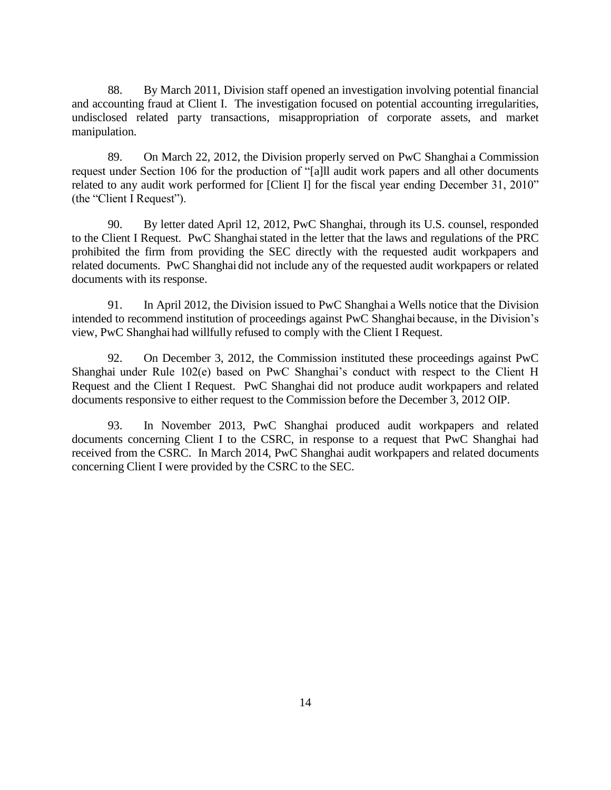88. By March 2011, Division staff opened an investigation involving potential financial and accounting fraud at Client I. The investigation focused on potential accounting irregularities, undisclosed related party transactions, misappropriation of corporate assets, and market manipulation.

89. On March 22, 2012, the Division properly served on PwC Shanghai a Commission request under Section 106 for the production of "[a]ll audit work papers and all other documents related to any audit work performed for [Client I] for the fiscal year ending December 31, 2010" (the "Client I Request").

90. By letter dated April 12, 2012, PwC Shanghai, through its U.S. counsel, responded to the Client I Request. PwC Shanghai stated in the letter that the laws and regulations of the PRC prohibited the firm from providing the SEC directly with the requested audit workpapers and related documents. PwC Shanghai did not include any of the requested audit workpapers or related documents with its response.

91. In April 2012, the Division issued to PwC Shanghai a Wells notice that the Division intended to recommend institution of proceedings against PwC Shanghai because, in the Division's view, PwC Shanghai had willfully refused to comply with the Client I Request.

92. On December 3, 2012, the Commission instituted these proceedings against PwC Shanghai under Rule 102(e) based on PwC Shanghai's conduct with respect to the Client H Request and the Client I Request. PwC Shanghai did not produce audit workpapers and related documents responsive to either request to the Commission before the December 3, 2012 OIP.

93. In November 2013, PwC Shanghai produced audit workpapers and related documents concerning Client I to the CSRC, in response to a request that PwC Shanghai had received from the CSRC. In March 2014, PwC Shanghai audit workpapers and related documents concerning Client I were provided by the CSRC to the SEC.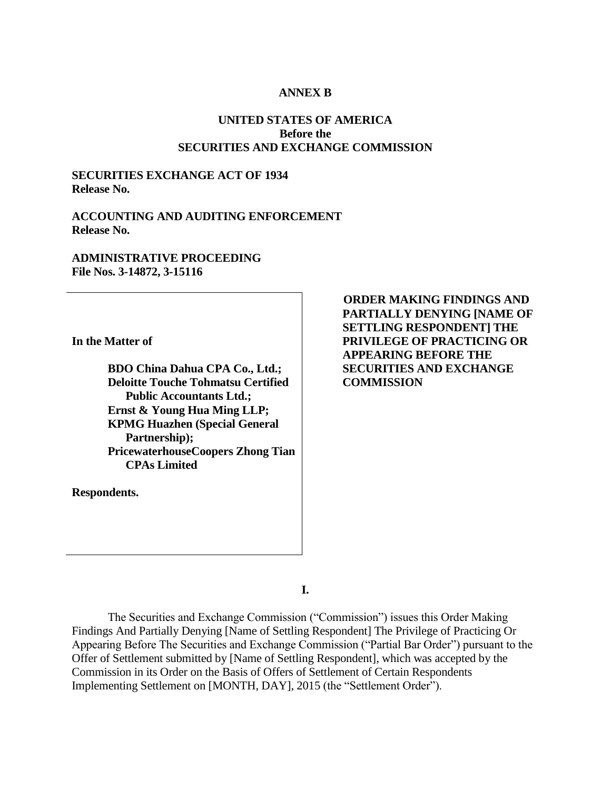#### **ANNEX B**

## **UNITED STATES OF AMERICA Before the SECURITIES AND EXCHANGE COMMISSION**

## **SECURITIES EXCHANGE ACT OF 1934 Release No.**

### **ACCOUNTING AND AUDITING ENFORCEMENT Release No.**

#### **ADMINISTRATIVE PROCEEDING File Nos. 3-14872, 3-15116**

**In the Matter of**

**BDO China Dahua CPA Co., Ltd.; Deloitte Touche Tohmatsu Certified Public Accountants Ltd.; Ernst & Young Hua Ming LLP; KPMG Huazhen (Special General Partnership); PricewaterhouseCoopers Zhong Tian CPAs Limited** 

**Respondents.**

**ORDER MAKING FINDINGS AND PARTIALLY DENYING [NAME OF SETTLING RESPONDENT] THE PRIVILEGE OF PRACTICING OR APPEARING BEFORE THE SECURITIES AND EXCHANGE COMMISSION**

**I.**

The Securities and Exchange Commission ("Commission") issues this Order Making Findings And Partially Denying [Name of Settling Respondent] The Privilege of Practicing Or Appearing Before The Securities and Exchange Commission ("Partial Bar Order") pursuant to the Offer of Settlement submitted by [Name of Settling Respondent], which was accepted by the Commission in its Order on the Basis of Offers of Settlement of Certain Respondents Implementing Settlement on [MONTH, DAY], 2015 (the "Settlement Order").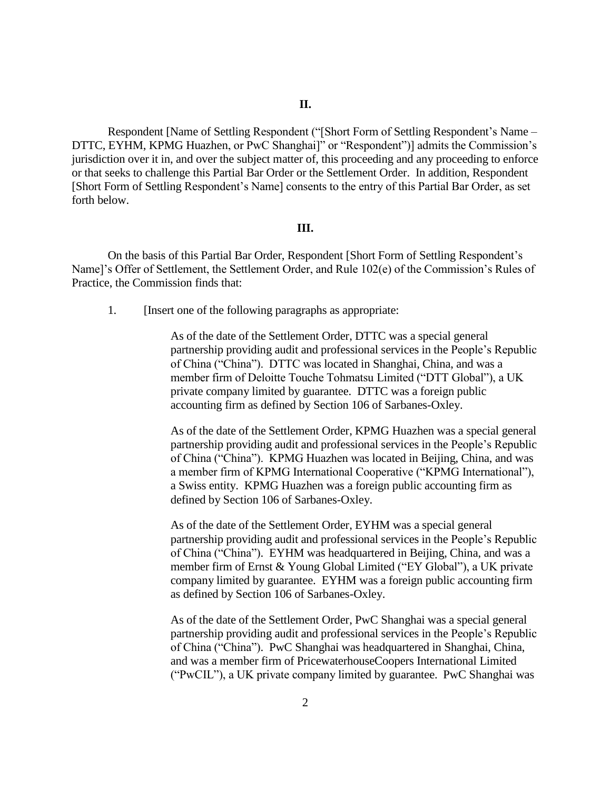Respondent [Name of Settling Respondent ("[Short Form of Settling Respondent's Name – DTTC, EYHM, KPMG Huazhen, or PwC Shanghai]" or "Respondent")] admits the Commission's jurisdiction over it in, and over the subject matter of, this proceeding and any proceeding to enforce or that seeks to challenge this Partial Bar Order or the Settlement Order. In addition, Respondent [Short Form of Settling Respondent's Name] consents to the entry of this Partial Bar Order, as set forth below.

#### **III.**

On the basis of this Partial Bar Order, Respondent [Short Form of Settling Respondent's Name]'s Offer of Settlement, the Settlement Order, and Rule 102(e) of the Commission's Rules of Practice, the Commission finds that:

1. [Insert one of the following paragraphs as appropriate:

As of the date of the Settlement Order, DTTC was a special general partnership providing audit and professional services in the People's Republic of China ("China"). DTTC was located in Shanghai, China, and was a member firm of Deloitte Touche Tohmatsu Limited ("DTT Global"), a UK private company limited by guarantee. DTTC was a foreign public accounting firm as defined by Section 106 of Sarbanes-Oxley.

As of the date of the Settlement Order, KPMG Huazhen was a special general partnership providing audit and professional services in the People's Republic of China ("China"). KPMG Huazhen was located in Beijing, China, and was a member firm of KPMG International Cooperative ("KPMG International"), a Swiss entity. KPMG Huazhen was a foreign public accounting firm as defined by Section 106 of Sarbanes-Oxley.

As of the date of the Settlement Order, EYHM was a special general partnership providing audit and professional services in the People's Republic of China ("China"). EYHM was headquartered in Beijing, China, and was a member firm of Ernst & Young Global Limited ("EY Global"), a UK private company limited by guarantee. EYHM was a foreign public accounting firm as defined by Section 106 of Sarbanes-Oxley.

As of the date of the Settlement Order, PwC Shanghai was a special general partnership providing audit and professional services in the People's Republic of China ("China"). PwC Shanghai was headquartered in Shanghai, China, and was a member firm of PricewaterhouseCoopers International Limited ("PwCIL"), a UK private company limited by guarantee. PwC Shanghai was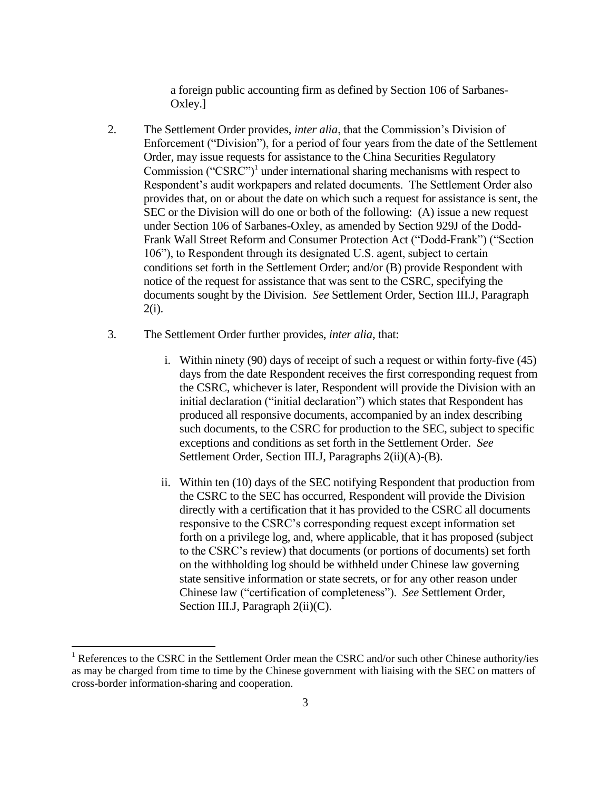a foreign public accounting firm as defined by Section 106 of Sarbanes-Oxley.]

- 2. The Settlement Order provides, *inter alia*, that the Commission's Division of Enforcement ("Division"), for a period of four years from the date of the Settlement Order, may issue requests for assistance to the China Securities Regulatory Commission (" $CSRC$ ")<sup>1</sup> under international sharing mechanisms with respect to Respondent's audit workpapers and related documents. The Settlement Order also provides that, on or about the date on which such a request for assistance is sent, the SEC or the Division will do one or both of the following: (A) issue a new request under Section 106 of Sarbanes-Oxley, as amended by Section 929J of the Dodd-Frank Wall Street Reform and Consumer Protection Act ("Dodd-Frank") ("Section 106"), to Respondent through its designated U.S. agent, subject to certain conditions set forth in the Settlement Order; and/or (B) provide Respondent with notice of the request for assistance that was sent to the CSRC, specifying the documents sought by the Division. *See* Settlement Order, Section III.J, Paragraph 2(i).
- 3. The Settlement Order further provides, *inter alia*, that:
	- i. Within ninety (90) days of receipt of such a request or within forty-five (45) days from the date Respondent receives the first corresponding request from the CSRC, whichever is later, Respondent will provide the Division with an initial declaration ("initial declaration") which states that Respondent has produced all responsive documents, accompanied by an index describing such documents, to the CSRC for production to the SEC, subject to specific exceptions and conditions as set forth in the Settlement Order. *See*  Settlement Order, Section III.J, Paragraphs 2(ii)(A)-(B).
	- ii. Within ten (10) days of the SEC notifying Respondent that production from the CSRC to the SEC has occurred, Respondent will provide the Division directly with a certification that it has provided to the CSRC all documents responsive to the CSRC's corresponding request except information set forth on a privilege log, and, where applicable, that it has proposed (subject to the CSRC's review) that documents (or portions of documents) set forth on the withholding log should be withheld under Chinese law governing state sensitive information or state secrets, or for any other reason under Chinese law ("certification of completeness"). *See* Settlement Order, Section III.J, Paragraph 2(ii)(C).

 $\overline{a}$ 

<sup>&</sup>lt;sup>1</sup> References to the CSRC in the Settlement Order mean the CSRC and/or such other Chinese authority/ies as may be charged from time to time by the Chinese government with liaising with the SEC on matters of cross-border information-sharing and cooperation.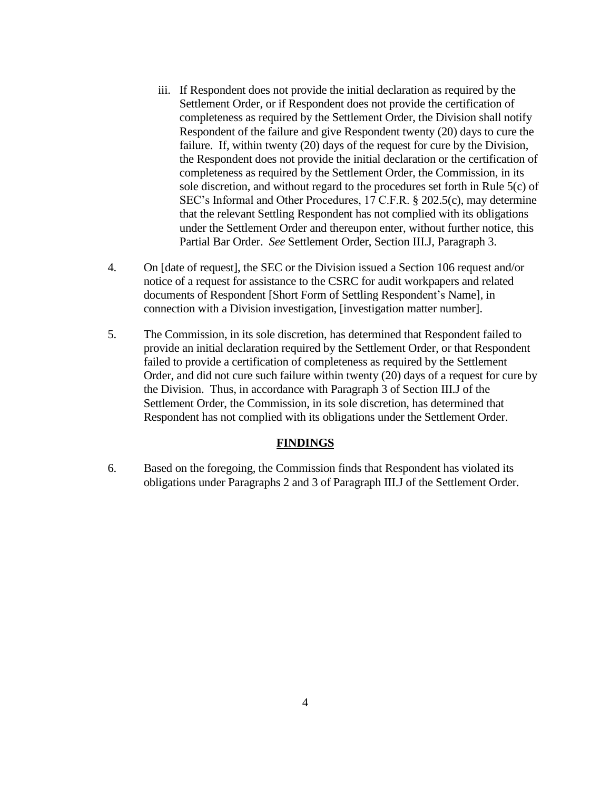- iii. If Respondent does not provide the initial declaration as required by the Settlement Order, or if Respondent does not provide the certification of completeness as required by the Settlement Order, the Division shall notify Respondent of the failure and give Respondent twenty (20) days to cure the failure. If, within twenty (20) days of the request for cure by the Division, the Respondent does not provide the initial declaration or the certification of completeness as required by the Settlement Order, the Commission, in its sole discretion, and without regard to the procedures set forth in Rule 5(c) of SEC's Informal and Other Procedures, 17 C.F.R. § 202.5(c), may determine that the relevant Settling Respondent has not complied with its obligations under the Settlement Order and thereupon enter, without further notice, this Partial Bar Order. *See* Settlement Order, Section III.J, Paragraph 3.
- 4. On [date of request], the SEC or the Division issued a Section 106 request and/or notice of a request for assistance to the CSRC for audit workpapers and related documents of Respondent [Short Form of Settling Respondent's Name], in connection with a Division investigation, [investigation matter number].
- 5. The Commission, in its sole discretion, has determined that Respondent failed to provide an initial declaration required by the Settlement Order, or that Respondent failed to provide a certification of completeness as required by the Settlement Order, and did not cure such failure within twenty (20) days of a request for cure by the Division. Thus, in accordance with Paragraph 3 of Section III.J of the Settlement Order, the Commission, in its sole discretion, has determined that Respondent has not complied with its obligations under the Settlement Order.

## **FINDINGS**

6. Based on the foregoing, the Commission finds that Respondent has violated its obligations under Paragraphs 2 and 3 of Paragraph III.J of the Settlement Order.